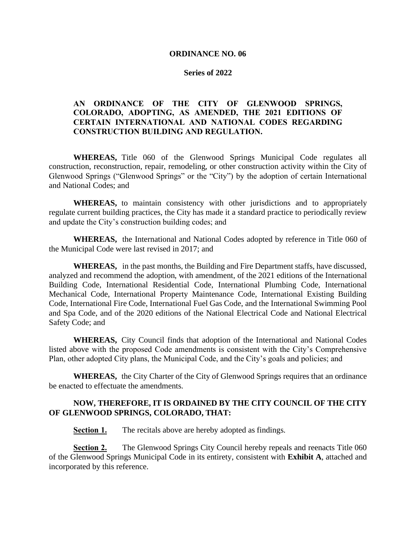# **ORDINANCE NO. 06**

# **Series of 2022**

# **AN ORDINANCE OF THE CITY OF GLENWOOD SPRINGS, COLORADO, ADOPTING, AS AMENDED, THE 2021 EDITIONS OF CERTAIN INTERNATIONAL AND NATIONAL CODES REGARDING CONSTRUCTION BUILDING AND REGULATION.**

**WHEREAS,** Title 060 of the Glenwood Springs Municipal Code regulates all construction, reconstruction, repair, remodeling, or other construction activity within the City of Glenwood Springs ("Glenwood Springs" or the "City") by the adoption of certain International and National Codes; and

**WHEREAS,** to maintain consistency with other jurisdictions and to appropriately regulate current building practices, the City has made it a standard practice to periodically review and update the City's construction building codes; and

**WHEREAS,** the International and National Codes adopted by reference in Title 060 of the Municipal Code were last revised in 2017; and

**WHEREAS,** in the past months, the Building and Fire Department staffs, have discussed, analyzed and recommend the adoption, with amendment, of the 2021 editions of the International Building Code, International Residential Code, International Plumbing Code, International Mechanical Code, International Property Maintenance Code, International Existing Building Code, International Fire Code, International Fuel Gas Code, and the International Swimming Pool and Spa Code, and of the 2020 editions of the National Electrical Code and National Electrical Safety Code; and

**WHEREAS,** City Council finds that adoption of the International and National Codes listed above with the proposed Code amendments is consistent with the City's Comprehensive Plan, other adopted City plans, the Municipal Code, and the City's goals and policies; and

**WHEREAS,** the City Charter of the City of Glenwood Springs requires that an ordinance be enacted to effectuate the amendments.

# **NOW, THEREFORE, IT IS ORDAINED BY THE CITY COUNCIL OF THE CITY OF GLENWOOD SPRINGS, COLORADO, THAT:**

**Section 1.** The recitals above are hereby adopted as findings.

**Section 2.** The Glenwood Springs City Council hereby repeals and reenacts Title 060 of the Glenwood Springs Municipal Code in its entirety, consistent with **Exhibit A**, attached and incorporated by this reference.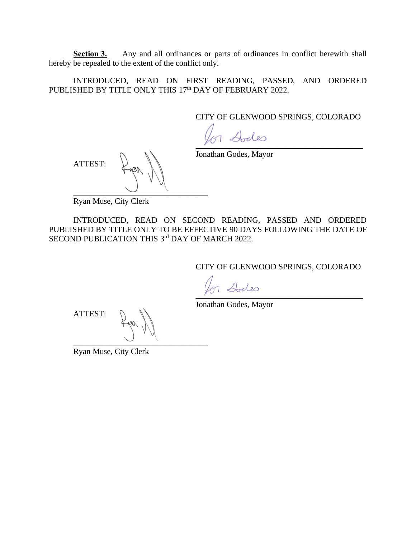**Section 3.** Any and all ordinances or parts of ordinances in conflict herewith shall hereby be repealed to the extent of the conflict only.

INTRODUCED, READ ON FIRST READING, PASSED, AND ORDERED PUBLISHED BY TITLE ONLY THIS 17<sup>th</sup> DAY OF FEBRUARY 2022.

CITY OF GLENWOOD SPRINGS, COLORADO

 $1$   $\omega$ des

Jonathan Godes, Mayor

ATTEST:  $\overline{\phantom{a}}$   $\overline{\phantom{a}}$   $\overline{\phantom{a}}$   $\overline{\phantom{a}}$   $\overline{\phantom{a}}$   $\overline{\phantom{a}}$   $\overline{\phantom{a}}$   $\overline{\phantom{a}}$   $\overline{\phantom{a}}$   $\overline{\phantom{a}}$   $\overline{\phantom{a}}$   $\overline{\phantom{a}}$   $\overline{\phantom{a}}$   $\overline{\phantom{a}}$   $\overline{\phantom{a}}$   $\overline{\phantom{a}}$   $\overline{\phantom{a}}$   $\overline{\phantom{a}}$   $\overline{\$ 

Ryan Muse, City Clerk

INTRODUCED, READ ON SECOND READING, PASSED AND ORDERED PUBLISHED BY TITLE ONLY TO BE EFFECTIVE 90 DAYS FOLLOWING THE DATE OF SECOND PUBLICATION THIS 3rd DAY OF MARCH 2022.

CITY OF GLENWOOD SPRINGS, COLORADO

 $\overline{y}$ 

Jonathan Godes, Mayor

ATTEST: \_\_\_\_\_\_\_\_\_\_\_\_\_\_\_\_\_\_\_\_\_\_\_\_\_\_\_\_\_\_\_\_\_

Ryan Muse, City Clerk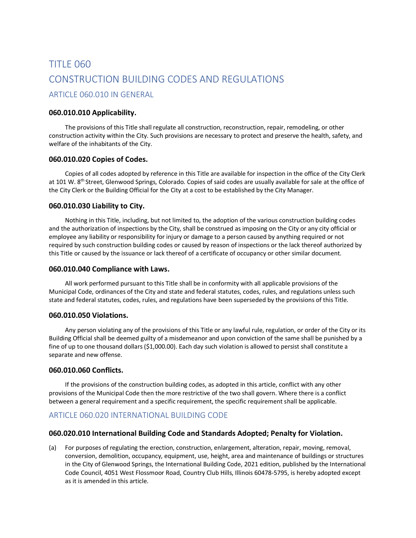# TITLE 060 CONSTRUCTION BUILDING CODES AND REGULATIONS ARTICLE 060.010 IN GENERAL

# **060.010.010 Applicability.**

The provisions of this Title shall regulate all construction, reconstruction, repair, remodeling, or other construction activity within the City. Such provisions are necessary to protect and preserve the health, safety, and welfare of the inhabitants of the City.

# **060.010.020 Copies of Codes.**

Copies of all codes adopted by reference in this Title are available for inspection in the office of the City Clerk at 101 W. 8th Street, Glenwood Springs, Colorado. Copies of said codes are usually available for sale at the office of the City Clerk or the Building Official for the City at a cost to be established by the City Manager.

# **060.010.030 Liability to City.**

Nothing in this Title, including, but not limited to, the adoption of the various construction building codes and the authorization of inspections by the City, shall be construed as imposing on the City or any city official or employee any liability or responsibility for injury or damage to a person caused by anything required or not required by such construction building codes or caused by reason of inspections or the lack thereof authorized by this Title or caused by the issuance or lack thereof of a certificate of occupancy or other similar document.

# **060.010.040 Compliance with Laws.**

All work performed pursuant to this Title shall be in conformity with all applicable provisions of the Municipal Code, ordinances of the City and state and federal statutes, codes, rules, and regulations unless such state and federal statutes, codes, rules, and regulations have been superseded by the provisions of this Title.

# **060.010.050 Violations.**

Any person violating any of the provisions of this Title or any lawful rule, regulation, or order of the City or its Building Official shall be deemed guilty of a misdemeanor and upon conviction of the same shall be punished by a fine of up to one thousand dollars (\$1,000.00). Each day such violation is allowed to persist shall constitute a separate and new offense.

# **060.010.060 Conflicts.**

If the provisions of the construction building codes, as adopted in this article, conflict with any other provisions of the Municipal Code then the more restrictive of the two shall govern. Where there is a conflict between a general requirement and a specific requirement, the specific requirement shall be applicable.

# ARTICLE 060.020 INTERNATIONAL BUILDING CODE

# **060.020.010 International Building Code and Standards Adopted; Penalty for Violation.**

(a) For purposes of regulating the erection, construction, enlargement, alteration, repair, moving, removal, conversion, demolition, occupancy, equipment, use, height, area and maintenance of buildings or structures in the City of Glenwood Springs, the International Building Code, 2021 edition, published by the International Code Council, 4051 West Flossmoor Road, Country Club Hills, Illinois 60478-5795, is hereby adopted except as it is amended in this article.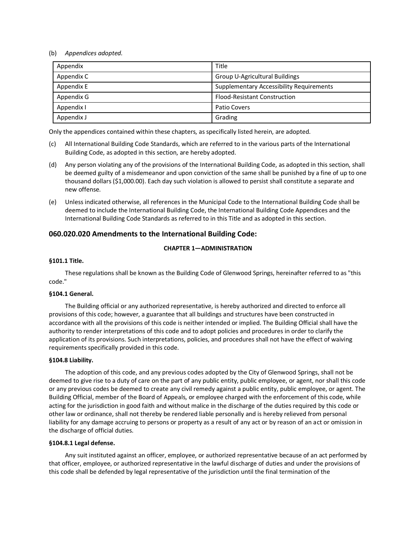### (b) *Appendices adopted.*

| Appendix   | Title                                           |  |  |
|------------|-------------------------------------------------|--|--|
| Appendix C | Group U-Agricultural Buildings                  |  |  |
| Appendix E | <b>Supplementary Accessibility Requirements</b> |  |  |
| Appendix G | <b>Flood-Resistant Construction</b>             |  |  |
| Appendix I | Patio Covers                                    |  |  |
| Appendix J | Grading                                         |  |  |

Only the appendices contained within these chapters, as specifically listed herein, are adopted.

- (c) All International Building Code Standards, which are referred to in the various parts of the International Building Code, as adopted in this section, are hereby adopted.
- (d) Any person violating any of the provisions of the International Building Code, as adopted in this section, shall be deemed guilty of a misdemeanor and upon conviction of the same shall be punished by a fine of up to one thousand dollars (\$1,000.00). Each day such violation is allowed to persist shall constitute a separate and new offense.
- (e) Unless indicated otherwise, all references in the Municipal Code to the International Building Code shall be deemed to include the International Building Code, the International Building Code Appendices and the International Building Code Standards as referred to in this Title and as adopted in this section.

# **060.020.020 Amendments to the International Building Code:**

# **CHAPTER 1—ADMINISTRATION**

# **§101.1 Title.**

These regulations shall be known as the Building Code of Glenwood Springs, hereinafter referred to as "this code."

### **§104.1 General.**

The Building official or any authorized representative, is hereby authorized and directed to enforce all provisions of this code; however, a guarantee that all buildings and structures have been constructed in accordance with all the provisions of this code is neither intended or implied. The Building Official shall have the authority to render interpretations of this code and to adopt policies and procedures in order to clarify the application of its provisions. Such interpretations, policies, and procedures shall not have the effect of waiving requirements specifically provided in this code.

### **§104.8 Liability.**

The adoption of this code, and any previous codes adopted by the City of Glenwood Springs, shall not be deemed to give rise to a duty of care on the part of any public entity, public employee, or agent, nor shall this code or any previous codes be deemed to create any civil remedy against a public entity, public employee, or agent. The Building Official, member of the Board of Appeals, or employee charged with the enforcement of this code, while acting for the jurisdiction in good faith and without malice in the discharge of the duties required by this code or other law or ordinance, shall not thereby be rendered liable personally and is hereby relieved from personal liability for any damage accruing to persons or property as a result of any act or by reason of an act or omission in the discharge of official duties.

### **§104.8.1 Legal defense.**

Any suit instituted against an officer, employee, or authorized representative because of an act performed by that officer, employee, or authorized representative in the lawful discharge of duties and under the provisions of this code shall be defended by legal representative of the jurisdiction until the final termination of the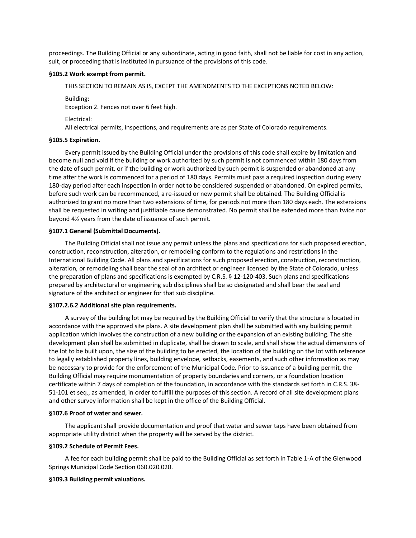proceedings. The Building Official or any subordinate, acting in good faith, shall not be liable for cost in any action, suit, or proceeding that is instituted in pursuance of the provisions of this code.

#### **§105.2 Work exempt from permit.**

THIS SECTION TO REMAIN AS IS, EXCEPT THE AMENDMENTS TO THE EXCEPTIONS NOTED BELOW:

Building: Exception 2. Fences not over 6 feet high.

Electrical:

All electrical permits, inspections, and requirements are as per State of Colorado requirements.

#### **§105.5 Expiration.**

Every permit issued by the Building Official under the provisions of this code shall expire by limitation and become null and void if the building or work authorized by such permit is not commenced within 180 days from the date of such permit, or if the building or work authorized by such permit is suspended or abandoned at any time after the work is commenced for a period of 180 days. Permits must pass a required inspection during every 180-day period after each inspection in order not to be considered suspended or abandoned. On expired permits, before such work can be recommenced, a re-issued or new permit shall be obtained. The Building Official is authorized to grant no more than two extensions of time, for periods not more than 180 days each. The extensions shall be requested in writing and justifiable cause demonstrated. No permit shall be extended more than twice nor beyond 4½ years from the date of issuance of such permit.

#### **§107.1 General (Submittal Documents).**

The Building Official shall not issue any permit unless the plans and specifications for such proposed erection, construction, reconstruction, alteration, or remodeling conform to the regulations and restrictions in the International Building Code. All plans and specifications for such proposed erection, construction, reconstruction, alteration, or remodeling shall bear the seal of an architect or engineer licensed by the State of Colorado, unless the preparation of plans and specifications is exempted by C.R.S. § 12-120-403. Such plans and specifications prepared by architectural or engineering sub disciplines shall be so designated and shall bear the seal and signature of the architect or engineer for that sub discipline.

#### **§107.2.6.2 Additional site plan requirements.**

A survey of the building lot may be required by the Building Official to verify that the structure is located in accordance with the approved site plans. A site development plan shall be submitted with any building permit application which involves the construction of a new building or the expansion of an existing building. The site development plan shall be submitted in duplicate, shall be drawn to scale, and shall show the actual dimensions of the lot to be built upon, the size of the building to be erected, the location of the building on the lot with reference to legally established property lines, building envelope, setbacks, easements, and such other information as may be necessary to provide for the enforcement of the Municipal Code. Prior to issuance of a building permit, the Building Official may require monumentation of property boundaries and corners, or a foundation location certificate within 7 days of completion of the foundation, in accordance with the standards set forth in C.R.S. 38- 51-101 et seq., as amended, in order to fulfill the purposes of this section. A record of all site development plans and other survey information shall be kept in the office of the Building Official.

#### **§107.6 Proof of water and sewer.**

The applicant shall provide documentation and proof that water and sewer taps have been obtained from appropriate utility district when the property will be served by the district.

#### **§109.2 Schedule of Permit Fees.**

A fee for each building permit shall be paid to the Building Official as set forth in Table 1-A of the Glenwood Springs Municipal Code Section 060.020.020.

#### **§109.3 Building permit valuations.**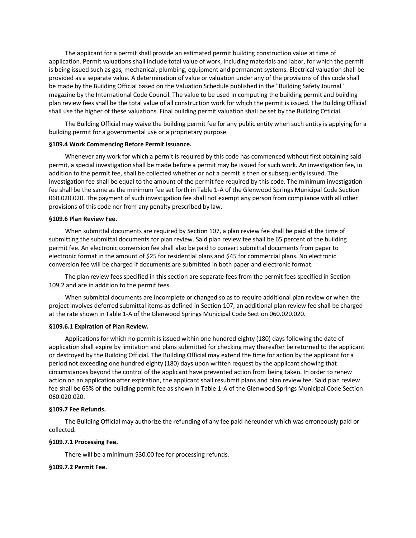The applicant for a permit shall provide an estimated permit building construction value at time of application. Permit valuations shall include total value of work, including materials and labor, for which the permit is being issued such as gas, mechanical, plumbing, equipment and permanent systems. Electrical valuation shall be provided as a separate value. A determination of value or valuation under any of the provisions of this code shall be made by the Building Official based on the Valuation Schedule published in the "Building Safety Journal" magazine by the International Code Council. The value to be used in computing the building permit and building plan review fees shall be the total value of all construction work for which the permit is issued. The Building Official shall use the higher of these valuations. Final building permit valuation shall be set by the Building Official.

The Building Official may waive the building permit fee for any public entity when such entity is applying for a building permit for a governmental use or a proprietary purpose.

#### **§109.4 Work Commencing Before Permit Issuance.**

Whenever any work for which a permit is required by this code has commenced without first obtaining said permit, a special investigation shall be made before a permit may be issued for such work. An investigation fee, in addition to the permit fee, shall be collected whether or not a permit is then or subsequently issued. The investigation fee shall be equal to the amount of the permit fee required by this code. The minimum investigation fee shall be the same as the minimum fee set forth in Table 1-A of the Glenwood Springs Municipal Code Section 060.020.020. The payment of such investigation fee shall not exempt any person from compliance with all other provisions of this code nor from any penalty prescribed by law.

#### **§109.6 Plan Review Fee.**

When submittal documents are required by Section 107, a plan review fee shall be paid at the time of submitting the submittal documents for plan review. Said plan review fee shall be 65 percent of the building permit fee. An electronic conversion fee shall also be paid to convert submittal documents from paper to electronic format in the amount of \$25 for residential plans and \$45 for commercial plans. No electronic conversion fee will be charged if documents are submitted in both paper and electronic format.

The plan review fees specified in this section are separate fees from the permit fees specified in Section 109.2 and are in addition to the permit fees.

When submittal documents are incomplete or changed so as to require additional plan review or when the project involves deferred submittal items as defined in Section 107, an additional plan review fee shall be charged at the rate shown in Table 1-A of the Glenwood Springs Municipal Code Section 060.020.020.

#### **§109.6.1 Expiration of Plan Review.**

Applications for which no permit is issued within one hundred eighty (180) days following the date of application shall expire by limitation and plans submitted for checking may thereafter be returned to the applicant or destroyed by the Building Official. The Building Official may extend the time for action by the applicant for a period not exceeding one hundred eighty (180) days upon written request by the applicant showing that circumstances beyond the control of the applicant have prevented action from being taken. In order to renew action on an application after expiration, the applicant shall resubmit plans and plan review fee. Said plan review fee shall be 65% of the building permit fee as shown in Table 1-A of the Glenwood Springs Municipal Code Section 060.020.020.

#### **§109.7 Fee Refunds.**

The Building Official may authorize the refunding of any fee paid hereunder which was erroneously paid or collected.

#### **§109.7.1 Processing Fee.**

There will be a minimum \$30.00 fee for processing refunds.

#### **§109.7.2 Permit Fee.**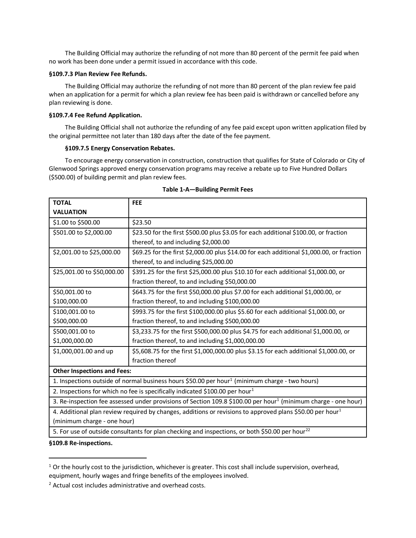The Building Official may authorize the refunding of not more than 80 percent of the permit fee paid when no work has been done under a permit issued in accordance with this code.

#### **§109.7.3 Plan Review Fee Refunds.**

The Building Official may authorize the refunding of not more than 80 percent of the plan review fee paid when an application for a permit for which a plan review fee has been paid is withdrawn or cancelled before any plan reviewing is done.

#### **§109.7.4 Fee Refund Application.**

The Building Official shall not authorize the refunding of any fee paid except upon written application filed by the original permittee not later than 180 days after the date of the fee payment.

#### **§109.7.5 Energy Conservation Rebates.**

To encourage energy conservation in construction, construction that qualifies for State of Colorado or City of Glenwood Springs approved energy conservation programs may receive a rebate up to Five Hundred Dollars (\$500.00) of building permit and plan review fees.

| <b>TOTAL</b>                                                                                                               | <b>FEE</b>                                                                                                  |  |  |  |  |  |
|----------------------------------------------------------------------------------------------------------------------------|-------------------------------------------------------------------------------------------------------------|--|--|--|--|--|
| <b>VALUATION</b>                                                                                                           |                                                                                                             |  |  |  |  |  |
| \$1.00 to \$500.00                                                                                                         | \$23.50                                                                                                     |  |  |  |  |  |
| \$501.00 to \$2,000.00                                                                                                     | \$23.50 for the first \$500.00 plus \$3.05 for each additional \$100.00, or fraction                        |  |  |  |  |  |
|                                                                                                                            | thereof, to and including \$2,000.00                                                                        |  |  |  |  |  |
| \$2,001.00 to \$25,000.00                                                                                                  | \$69.25 for the first \$2,000.00 plus \$14.00 for each additional \$1,000.00, or fraction                   |  |  |  |  |  |
|                                                                                                                            | thereof, to and including \$25,000.00                                                                       |  |  |  |  |  |
| \$25,001.00 to \$50,000.00                                                                                                 | \$391.25 for the first \$25,000.00 plus \$10.10 for each additional \$1,000.00, or                          |  |  |  |  |  |
|                                                                                                                            | fraction thereof, to and including \$50,000.00                                                              |  |  |  |  |  |
| \$50,001.00 to                                                                                                             | \$643.75 for the first \$50,000.00 plus \$7.00 for each additional \$1,000.00, or                           |  |  |  |  |  |
| \$100,000.00                                                                                                               | fraction thereof, to and including \$100,000.00                                                             |  |  |  |  |  |
| \$100,001.00 to                                                                                                            | \$993.75 for the first \$100,000.00 plus \$5.60 for each additional \$1,000.00, or                          |  |  |  |  |  |
| \$500,000.00                                                                                                               | fraction thereof, to and including \$500,000.00                                                             |  |  |  |  |  |
| \$500,001.00 to                                                                                                            | \$3,233.75 for the first \$500,000.00 plus \$4.75 for each additional \$1,000.00, or                        |  |  |  |  |  |
| \$1,000,000.00                                                                                                             | fraction thereof, to and including \$1,000,000.00                                                           |  |  |  |  |  |
| \$1,000,001.00 and up                                                                                                      | \$5,608.75 for the first \$1,000,000.00 plus \$3.15 for each additional \$1,000.00, or                      |  |  |  |  |  |
|                                                                                                                            | fraction thereof                                                                                            |  |  |  |  |  |
| <b>Other Inspections and Fees:</b>                                                                                         |                                                                                                             |  |  |  |  |  |
|                                                                                                                            | 1. Inspections outside of normal business hours \$50.00 per hour <sup>1</sup> (minimum charge - two hours)  |  |  |  |  |  |
| 2. Inspections for which no fee is specifically indicated \$100.00 per hour <sup>1</sup>                                   |                                                                                                             |  |  |  |  |  |
| 3. Re-inspection fee assessed under provisions of Section 109.8 \$100.00 per hour <sup>1</sup> (minimum charge - one hour) |                                                                                                             |  |  |  |  |  |
| 4. Additional plan review required by changes, additions or revisions to approved plans \$50.00 per hour <sup>1</sup>      |                                                                                                             |  |  |  |  |  |
| (minimum charge - one hour)                                                                                                |                                                                                                             |  |  |  |  |  |
|                                                                                                                            | 5. For use of outside consultants for plan checking and inspections, or both \$50.00 per hour <sup>22</sup> |  |  |  |  |  |
| $0.400000 \times 100000000$                                                                                                |                                                                                                             |  |  |  |  |  |

#### **Table 1-A—Building Permit Fees**

**§109.8 Re-inspections.**

 $1$  Or the hourly cost to the jurisdiction, whichever is greater. This cost shall include supervision, overhead, equipment, hourly wages and fringe benefits of the employees involved.

<sup>2</sup> Actual cost includes administrative and overhead costs.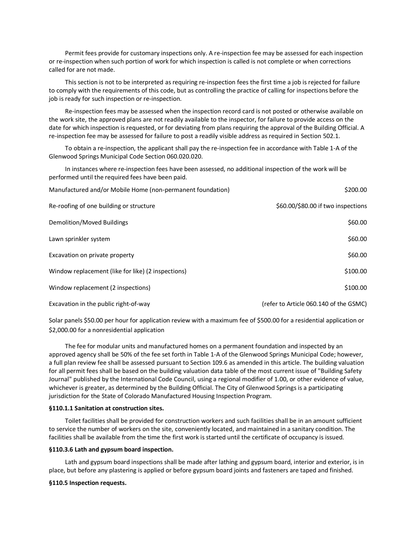Permit fees provide for customary inspections only. A re-inspection fee may be assessed for each inspection or re-inspection when such portion of work for which inspection is called is not complete or when corrections called for are not made.

This section is not to be interpreted as requiring re-inspection fees the first time a job is rejected for failure to comply with the requirements of this code, but as controlling the practice of calling for inspections before the job is ready for such inspection or re-inspection.

Re-inspection fees may be assessed when the inspection record card is not posted or otherwise available on the work site, the approved plans are not readily available to the inspector, for failure to provide access on the date for which inspection is requested, or for deviating from plans requiring the approval of the Building Official. A re-inspection fee may be assessed for failure to post a readily visible address as required in Section 502.1.

To obtain a re-inspection, the applicant shall pay the re-inspection fee in accordance with Table 1-A of the Glenwood Springs Municipal Code Section 060.020.020.

In instances where re-inspection fees have been assessed, no additional inspection of the work will be performed until the required fees have been paid.

| Manufactured and/or Mobile Home (non-permanent foundation) | \$200.00                               |
|------------------------------------------------------------|----------------------------------------|
| Re-roofing of one building or structure                    | \$60.00/\$80.00 if two inspections     |
| Demolition/Moved Buildings                                 | \$60.00                                |
| Lawn sprinkler system                                      | \$60.00                                |
| Excavation on private property                             | \$60.00                                |
| Window replacement (like for like) (2 inspections)         | \$100.00                               |
| Window replacement (2 inspections)                         | \$100.00                               |
| Excavation in the public right-of-way                      | (refer to Article 060.140 of the GSMC) |

Solar panels \$50.00 per hour for application review with a maximum fee of \$500.00 for a residential application or \$2,000.00 for a nonresidential application

The fee for modular units and manufactured homes on a permanent foundation and inspected by an approved agency shall be 50% of the fee set forth in Table 1-A of the Glenwood Springs Municipal Code; however, a full plan review fee shall be assessed pursuant to Section 109.6 as amended in this article. The building valuation for all permit fees shall be based on the building valuation data table of the most current issue of "Building Safety Journal" published by the International Code Council, using a regional modifier of 1.00, or other evidence of value, whichever is greater, as determined by the Building Official. The City of Glenwood Springs is a participating jurisdiction for the State of Colorado Manufactured Housing Inspection Program.

#### **§110.1.1 Sanitation at construction sites.**

Toilet facilities shall be provided for construction workers and such facilities shall be in an amount sufficient to service the number of workers on the site, conveniently located, and maintained in a sanitary condition. The facilities shall be available from the time the first work is started until the certificate of occupancy is issued.

#### **§110.3.6 Lath and gypsum board inspection.**

Lath and gypsum board inspections shall be made after lathing and gypsum board, interior and exterior, is in place, but before any plastering is applied or before gypsum board joints and fasteners are taped and finished.

#### **§110.5 Inspection requests.**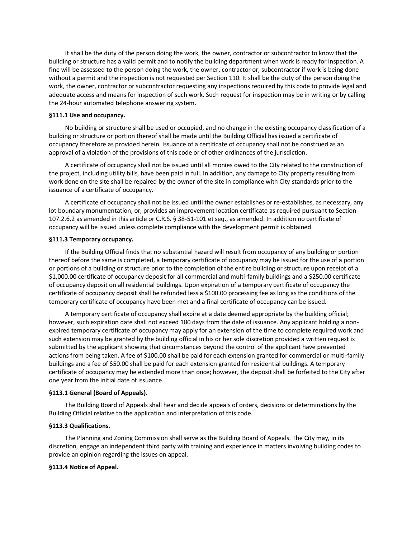It shall be the duty of the person doing the work, the owner, contractor or subcontractor to know that the building or structure has a valid permit and to notify the building department when work is ready for inspection. A fine will be assessed to the person doing the work, the owner, contractor or, subcontractor if work is being done without a permit and the inspection is not requested per Section 110. It shall be the duty of the person doing the work, the owner, contractor or subcontractor requesting any inspections required by this code to provide legal and adequate access and means for inspection of such work. Such request for inspection may be in writing or by calling the 24-hour automated telephone answering system.

### **§111.1 Use and occupancy.**

No building or structure shall be used or occupied, and no change in the existing occupancy classification of a building or structure or portion thereof shall be made until the Building Official has issued a certificate of occupancy therefore as provided herein. Issuance of a certificate of occupancy shall not be construed as an approval of a violation of the provisions of this code or of other ordinances of the jurisdiction.

A certificate of occupancy shall not be issued until all monies owed to the City related to the construction of the project, including utility bills, have been paid in full. In addition, any damage to City property resulting from work done on the site shall be repaired by the owner of the site in compliance with City standards prior to the issuance of a certificate of occupancy.

A certificate of occupancy shall not be issued until the owner establishes or re-establishes, as necessary, any lot boundary monumentation, or, provides an improvement location certificate as required pursuant to Section 107.2.6.2 as amended in this article or C.R.S. § 38-51-101 et seq., as amended. In addition no certificate of occupancy will be issued unless complete compliance with the development permit is obtained.

#### **§111.3 Temporary occupancy.**

If the Building Official finds that no substantial hazard will result from occupancy of any building or portion thereof before the same is completed, a temporary certificate of occupancy may be issued for the use of a portion or portions of a building or structure prior to the completion of the entire building or structure upon receipt of a \$1,000.00 certificate of occupancy deposit for all commercial and multi-family buildings and a \$250.00 certificate of occupancy deposit on all residential buildings. Upon expiration of a temporary certificate of occupancy the certificate of occupancy deposit shall be refunded less a \$100.00 processing fee as long as the conditions of the temporary certificate of occupancy have been met and a final certificate of occupancy can be issued.

A temporary certificate of occupancy shall expire at a date deemed appropriate by the building official; however, such expiration date shall not exceed 180 days from the date of issuance. Any applicant holding a nonexpired temporary certificate of occupancy may apply for an extension of the time to complete required work and such extension may be granted by the building official in his or her sole discretion provided a written request is submitted by the applicant showing that circumstances beyond the control of the applicant have prevented actions from being taken. A fee of \$100.00 shall be paid for each extension granted for commercial or multi-family buildings and a fee of \$50.00 shall be paid for each extension granted for residential buildings. A temporary certificate of occupancy may be extended more than once; however, the deposit shall be forfeited to the City after one year from the initial date of issuance.

#### **§113.1 General (Board of Appeals).**

The Building Board of Appeals shall hear and decide appeals of orders, decisions or determinations by the Building Official relative to the application and interpretation of this code.

#### **§113.3 Qualifications.**

The Planning and Zoning Commission shall serve as the Building Board of Appeals. The City may, in its discretion, engage an independent third party with training and experience in matters involving building codes to provide an opinion regarding the issues on appeal.

#### **§113.4 Notice of Appeal.**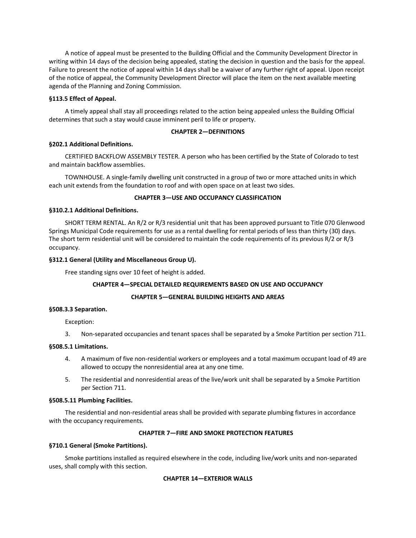A notice of appeal must be presented to the Building Official and the Community Development Director in writing within 14 days of the decision being appealed, stating the decision in question and the basis for the appeal. Failure to present the notice of appeal within 14 days shall be a waiver of any further right of appeal. Upon receipt of the notice of appeal, the Community Development Director will place the item on the next available meeting agenda of the Planning and Zoning Commission.

### **§113.5 Effect of Appeal.**

A timely appeal shall stay all proceedings related to the action being appealed unless the Building Official determines that such a stay would cause imminent peril to life or property.

# **CHAPTER 2—DEFINITIONS**

# **§202.1 Additional Definitions.**

CERTIFIED BACKFLOW ASSEMBLY TESTER. A person who has been certified by the State of Colorado to test and maintain backflow assemblies.

TOWNHOUSE. A single-family dwelling unit constructed in a group of two or more attached units in which each unit extends from the foundation to roof and with open space on at least two sides.

# **CHAPTER 3—USE AND OCCUPANCY CLASSIFICATION**

### **§310.2.1 Additional Definitions.**

SHORT TERM RENTAL. An R/2 or R/3 residential unit that has been approved pursuant to Title 070 Glenwood Springs Municipal Code requirements for use as a rental dwelling for rental periods of less than thirty (30) days. The short term residential unit will be considered to maintain the code requirements of its previous R/2 or R/3 occupancy.

# **§312.1 General (Utility and Miscellaneous Group U).**

Free standing signs over 10 feet of height is added.

# **CHAPTER 4—SPECIAL DETAILED REQUIREMENTS BASED ON USE AND OCCUPANCY**

# **CHAPTER 5—GENERAL BUILDING HEIGHTS AND AREAS**

### **§508.3.3 Separation.**

Exception:

3. Non-separated occupancies and tenant spaces shall be separated by a Smoke Partition per section 711.

# **§508.5.1 Limitations.**

- 4. A maximum of five non-residential workers or employees and a total maximum occupant load of 49 are allowed to occupy the nonresidential area at any one time.
- 5. The residential and nonresidential areas of the live/work unit shall be separated by a Smoke Partition per Section 711.

### **§508.5.11 Plumbing Facilities.**

The residential and non-residential areas shall be provided with separate plumbing fixtures in accordance with the occupancy requirements.

# **CHAPTER 7—FIRE AND SMOKE PROTECTION FEATURES**

# **§710.1 General (Smoke Partitions).**

Smoke partitions installed as required elsewhere in the code, including live/work units and non-separated uses, shall comply with this section.

# **CHAPTER 14—EXTERIOR WALLS**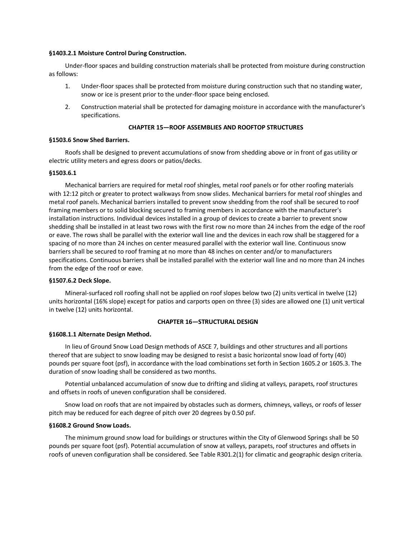#### **§1403.2.1 Moisture Control During Construction.**

Under-floor spaces and building construction materials shall be protected from moisture during construction as follows:

- 1. Under-floor spaces shall be protected from moisture during construction such that no standing water, snow or ice is present prior to the under-floor space being enclosed.
- 2. Construction material shall be protected for damaging moisture in accordance with the manufacturer's specifications.

# **CHAPTER 15—ROOF ASSEMBLIES AND ROOFTOP STRUCTURES**

#### **§1503.6 Snow Shed Barriers.**

Roofs shall be designed to prevent accumulations of snow from shedding above or in front of gas utility or electric utility meters and egress doors or patios/decks.

### **§1503.6.1**

Mechanical barriers are required for metal roof shingles, metal roof panels or for other roofing materials with 12:12 pitch or greater to protect walkways from snow slides. Mechanical barriers for metal roof shingles and metal roof panels. Mechanical barriers installed to prevent snow shedding from the roof shall be secured to roof framing members or to solid blocking secured to framing members in accordance with the manufacturer's installation instructions. Individual devices installed in a group of devices to create a barrier to prevent snow shedding shall be installed in at least two rows with the first row no more than 24 inches from the edge of the roof or eave. The rows shall be parallel with the exterior wall line and the devices in each row shall be staggered for a spacing of no more than 24 inches on center measured parallel with the exterior wall line. Continuous snow barriers shall be secured to roof framing at no more than 48 inches on center and/or to manufacturers specifications. Continuous barriers shall be installed parallel with the exterior wall line and no more than 24 inches from the edge of the roof or eave.

### **§1507.6.2 Deck Slope.**

Mineral-surfaced roll roofing shall not be applied on roof slopes below two (2) units vertical in twelve (12) units horizontal (16% slope) except for patios and carports open on three (3) sides are allowed one (1) unit vertical in twelve (12) units horizontal.

# **CHAPTER 16—STRUCTURAL DESIGN**

### **§1608.1.1 Alternate Design Method.**

In lieu of Ground Snow Load Design methods of ASCE 7, buildings and other structures and all portions thereof that are subject to snow loading may be designed to resist a basic horizontal snow load of forty (40) pounds per square foot (psf), in accordance with the load combinations set forth in Section 1605.2 or 1605.3. The duration of snow loading shall be considered as two months.

Potential unbalanced accumulation of snow due to drifting and sliding at valleys, parapets, roof structures and offsets in roofs of uneven configuration shall be considered.

Snow load on roofs that are not impaired by obstacles such as dormers, chimneys, valleys, or roofs of lesser pitch may be reduced for each degree of pitch over 20 degrees by 0.50 psf.

#### **§1608.2 Ground Snow Loads.**

The minimum ground snow load for buildings or structures within the City of Glenwood Springs shall be 50 pounds per square foot (psf). Potential accumulation of snow at valleys, parapets, roof structures and offsets in roofs of uneven configuration shall be considered. See Table R301.2(1) for climatic and geographic design criteria.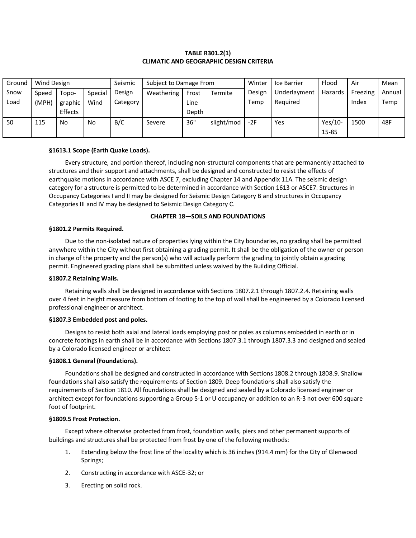# **TABLE R301.2(1) CLIMATIC AND GEOGRAPHIC DESIGN CRITERIA**

| Ground | Seismic<br>Wind Design |         |         |          | Subject to Damage From |       |            | Winter | Ice Barrier  | Flood     | Air      | Mean   |
|--------|------------------------|---------|---------|----------|------------------------|-------|------------|--------|--------------|-----------|----------|--------|
| Snow   | Speed                  | Topo-   | Special | Design   | Weathering             | Frost | Termite    | Design | Underlayment | Hazards   | Freezing | Annual |
| Load   | (MPH)                  | graphic | Wind    | Category |                        | Line  |            | Temp   | Required     |           | Index    | Temp   |
|        |                        | Effects |         |          |                        | Depth |            |        |              |           |          |        |
| 50     | 115                    | No      | No      | B/C      | Severe                 | 36"   | slight/mod | $-2F$  | Yes          | $Yes/10-$ | 1500     | 48F    |
|        |                        |         |         |          |                        |       |            |        |              | 15-85     |          |        |

### **§1613.1 Scope (Earth Quake Loads).**

Every structure, and portion thereof, including non-structural components that are permanently attached to structures and their support and attachments, shall be designed and constructed to resist the effects of earthquake motions in accordance with ASCE 7, excluding Chapter 14 and Appendix 11A. The seismic design category for a structure is permitted to be determined in accordance with Section 1613 or ASCE7. Structures in Occupancy Categories I and II may be designed for Seismic Design Category B and structures in Occupancy Categories III and IV may be designed to Seismic Design Category C.

# **CHAPTER 18—SOILS AND FOUNDATIONS**

#### **§1801.2 Permits Required.**

Due to the non-isolated nature of properties lying within the City boundaries, no grading shall be permitted anywhere within the City without first obtaining a grading permit. It shall be the obligation of the owner or person in charge of the property and the person(s) who will actually perform the grading to jointly obtain a grading permit. Engineered grading plans shall be submitted unless waived by the Building Official.

#### **§1807.2 Retaining Walls.**

Retaining walls shall be designed in accordance with Sections 1807.2.1 through 1807.2.4. Retaining walls over 4 feet in height measure from bottom of footing to the top of wall shall be engineered by a Colorado licensed professional engineer or architect.

#### **§1807.3 Embedded post and poles.**

Designs to resist both axial and lateral loads employing post or poles as columns embedded in earth or in concrete footings in earth shall be in accordance with Sections 1807.3.1 through 1807.3.3 and designed and sealed by a Colorado licensed engineer or architect

#### **§1808.1 General (Foundations).**

Foundations shall be designed and constructed in accordance with Sections 1808.2 through 1808.9. Shallow foundations shall also satisfy the requirements of Section 1809. Deep foundations shall also satisfy the requirements of Section 1810. All foundations shall be designed and sealed by a Colorado licensed engineer or architect except for foundations supporting a Group S-1 or U occupancy or addition to an R-3 not over 600 square foot of footprint.

### **§1809.5 Frost Protection.**

Except where otherwise protected from frost, foundation walls, piers and other permanent supports of buildings and structures shall be protected from frost by one of the following methods:

- 1. Extending below the frost line of the locality which is 36 inches (914.4 mm) for the City of Glenwood Springs;
- 2. Constructing in accordance with ASCE-32; or
- 3. Erecting on solid rock.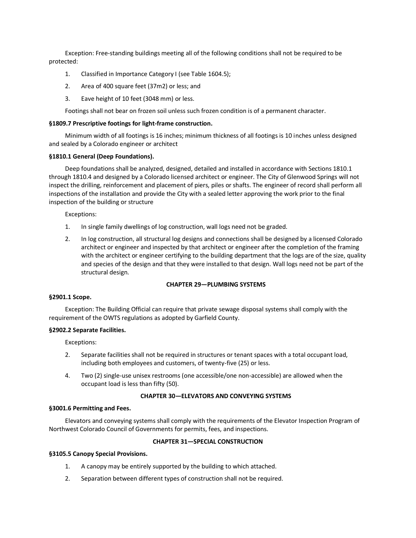Exception: Free-standing buildings meeting all of the following conditions shall not be required to be protected:

- 1. Classified in Importance Category I (see Table 1604.5);
- 2. Area of 400 square feet (37m2) or less; and
- 3. Eave height of 10 feet (3048 mm) or less.

Footings shall not bear on frozen soil unless such frozen condition is of a permanent character.

### **§1809.7 Prescriptive footings for light-frame construction.**

Minimum width of all footings is 16 inches; minimum thickness of all footings is 10 inches unless designed and sealed by a Colorado engineer or architect

#### **§1810.1 General (Deep Foundations).**

Deep foundations shall be analyzed, designed, detailed and installed in accordance with Sections 1810.1 through 1810.4 and designed by a Colorado licensed architect or engineer. The City of Glenwood Springs will not inspect the drilling, reinforcement and placement of piers, piles or shafts. The engineer of record shall perform all inspections of the installation and provide the City with a sealed letter approving the work prior to the final inspection of the building or structure

Exceptions:

- 1. In single family dwellings of log construction, wall logs need not be graded.
- 2. In log construction, all structural log designs and connections shall be designed by a licensed Colorado architect or engineer and inspected by that architect or engineer after the completion of the framing with the architect or engineer certifying to the building department that the logs are of the size, quality and species of the design and that they were installed to that design. Wall logs need not be part of the structural design.

# **CHAPTER 29—PLUMBING SYSTEMS**

#### **§2901.1 Scope.**

Exception: The Building Official can require that private sewage disposal systems shall comply with the requirement of the OWTS regulations as adopted by Garfield County.

#### **§2902.2 Separate Facilities.**

Exceptions:

- 2. Separate facilities shall not be required in structures or tenant spaces with a total occupant load, including both employees and customers, of twenty-five (25) or less.
- 4. Two (2) single-use unisex restrooms (one accessible/one non-accessible) are allowed when the occupant load is less than fifty (50).

# **CHAPTER 30—ELEVATORS AND CONVEYING SYSTEMS**

#### **§3001.6 Permitting and Fees.**

Elevators and conveying systems shall comply with the requirements of the Elevator Inspection Program of Northwest Colorado Council of Governments for permits, fees, and inspections.

# **CHAPTER 31—SPECIAL CONSTRUCTION**

#### **§3105.5 Canopy Special Provisions.**

- 1. A canopy may be entirely supported by the building to which attached.
- 2. Separation between different types of construction shall not be required.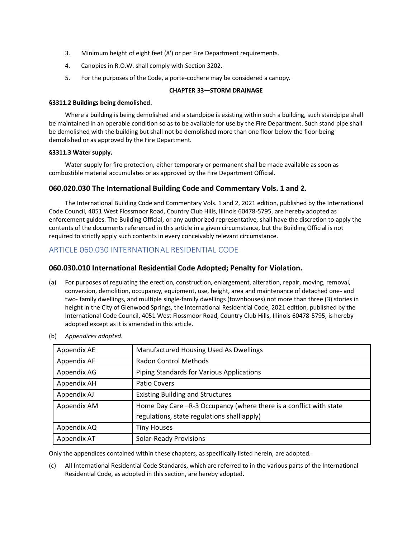- 3. Minimum height of eight feet (8') or per Fire Department requirements.
- 4. Canopies in R.O.W. shall comply with Section 3202.
- 5. For the purposes of the Code, a porte-cochere may be considered a canopy.

# **CHAPTER 33—STORM DRAINAGE**

### **§3311.2 Buildings being demolished.**

Where a building is being demolished and a standpipe is existing within such a building, such standpipe shall be maintained in an operable condition so as to be available for use by the Fire Department. Such stand pipe shall be demolished with the building but shall not be demolished more than one floor below the floor being demolished or as approved by the Fire Department.

### **§3311.3 Water supply.**

Water supply for fire protection, either temporary or permanent shall be made available as soon as combustible material accumulates or as approved by the Fire Department Official.

# **060.020.030 The International Building Code and Commentary Vols. 1 and 2.**

The International Building Code and Commentary Vols. 1 and 2, 2021 edition, published by the International Code Council, 4051 West Flossmoor Road, Country Club Hills, Illinois 60478-5795, are hereby adopted as enforcement guides. The Building Official, or any authorized representative, shall have the discretion to apply the contents of the documents referenced in this article in a given circumstance, but the Building Official is not required to strictly apply such contents in every conceivably relevant circumstance.

# ARTICLE 060.030 INTERNATIONAL RESIDENTIAL CODE

# **060.030.010 International Residential Code Adopted; Penalty for Violation.**

(a) For purposes of regulating the erection, construction, enlargement, alteration, repair, moving, removal, conversion, demolition, occupancy, equipment, use, height, area and maintenance of detached one- and two- family dwellings, and multiple single-family dwellings (townhouses) not more than three (3) stories in height in the City of Glenwood Springs, the International Residential Code, 2021 edition, published by the International Code Council, 4051 West Flossmoor Road, Country Club Hills, Illinois 60478-5795, is hereby adopted except as it is amended in this article.

| Appendix AE | Manufactured Housing Used As Dwellings                             |
|-------------|--------------------------------------------------------------------|
| Appendix AF | <b>Radon Control Methods</b>                                       |
| Appendix AG | Piping Standards for Various Applications                          |
| Appendix AH | Patio Covers                                                       |
| Appendix AJ | <b>Existing Building and Structures</b>                            |
| Appendix AM | Home Day Care -R-3 Occupancy (where there is a conflict with state |
|             | regulations, state regulations shall apply)                        |
| Appendix AQ | <b>Tiny Houses</b>                                                 |
| Appendix AT | <b>Solar-Ready Provisions</b>                                      |

(b) *Appendices adopted.*

Only the appendices contained within these chapters, as specifically listed herein, are adopted.

(c) All International Residential Code Standards, which are referred to in the various parts of the International Residential Code, as adopted in this section, are hereby adopted.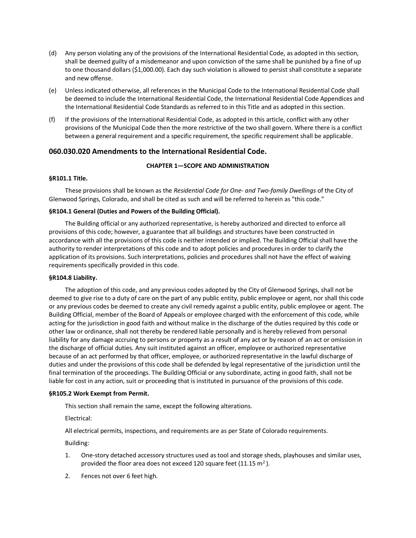- (d) Any person violating any of the provisions of the International Residential Code, as adopted in this section, shall be deemed guilty of a misdemeanor and upon conviction of the same shall be punished by a fine of up to one thousand dollars (\$1,000.00). Each day such violation is allowed to persist shall constitute a separate and new offense.
- (e) Unless indicated otherwise, all references in the Municipal Code to the International Residential Code shall be deemed to include the International Residential Code, the International Residential Code Appendices and the International Residential Code Standards as referred to in this Title and as adopted in this section.
- (f) If the provisions of the International Residential Code, as adopted in this article, conflict with any other provisions of the Municipal Code then the more restrictive of the two shall govern. Where there is a conflict between a general requirement and a specific requirement, the specific requirement shall be applicable.

# **060.030.020 Amendments to the International Residential Code.**

# **CHAPTER 1—SCOPE AND ADMINISTRATION**

### **§R101.1 Title.**

These provisions shall be known as the *Residential Code for One- and Two-family Dwellings* of the City of Glenwood Springs, Colorado, and shall be cited as such and will be referred to herein as "this code."

# **§R104.1 General (Duties and Powers of the Building Official).**

The Building official or any authorized representative, is hereby authorized and directed to enforce all provisions of this code; however, a guarantee that all buildings and structures have been constructed in accordance with all the provisions of this code is neither intended or implied. The Building Official shall have the authority to render interpretations of this code and to adopt policies and procedures in order to clarify the application of its provisions. Such interpretations, policies and procedures shall not have the effect of waiving requirements specifically provided in this code.

### **§R104.8 Liability.**

The adoption of this code, and any previous codes adopted by the City of Glenwood Springs, shall not be deemed to give rise to a duty of care on the part of any public entity, public employee or agent, nor shall this code or any previous codes be deemed to create any civil remedy against a public entity, public employee or agent. The Building Official, member of the Board of Appeals or employee charged with the enforcement of this code, while acting for the jurisdiction in good faith and without malice in the discharge of the duties required by this code or other law or ordinance, shall not thereby be rendered liable personally and is hereby relieved from personal liability for any damage accruing to persons or property as a result of any act or by reason of an act or omission in the discharge of official duties. Any suit instituted against an officer, employee or authorized representative because of an act performed by that officer, employee, or authorized representative in the lawful discharge of duties and under the provisions of this code shall be defended by legal representative of the jurisdiction until the final termination of the proceedings. The Building Official or any subordinate, acting in good faith, shall not be liable for cost in any action, suit or proceeding that is instituted in pursuance of the provisions of this code.

### **§R105.2 Work Exempt from Permit.**

This section shall remain the same, except the following alterations.

Electrical:

All electrical permits, inspections, and requirements are as per State of Colorado requirements.

Building:

- 1. One-story detached accessory structures used as tool and storage sheds, playhouses and similar uses, provided the floor area does not exceed 120 square feet (11.15  $m^2$ ).
- 2. Fences not over 6 feet high.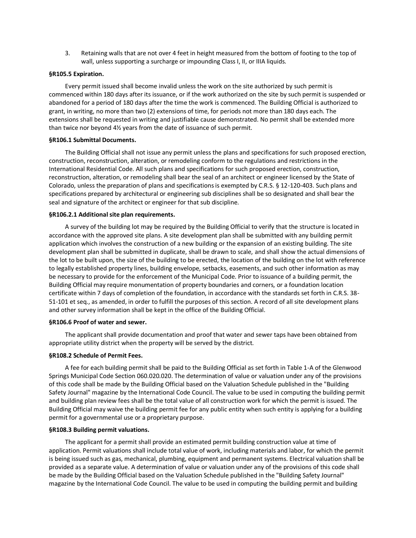3. Retaining walls that are not over 4 feet in height measured from the bottom of footing to the top of wall, unless supporting a surcharge or impounding Class I, II, or IIIA liquids.

#### **§R105.5 Expiration.**

Every permit issued shall become invalid unless the work on the site authorized by such permit is commenced within 180 days after its issuance, or if the work authorized on the site by such permit is suspended or abandoned for a period of 180 days after the time the work is commenced. The Building Official is authorized to grant, in writing, no more than two (2) extensions of time, for periods not more than 180 days each. The extensions shall be requested in writing and justifiable cause demonstrated. No permit shall be extended more than twice nor beyond 4½ years from the date of issuance of such permit.

#### **§R106.1 Submittal Documents.**

The Building Official shall not issue any permit unless the plans and specifications for such proposed erection, construction, reconstruction, alteration, or remodeling conform to the regulations and restrictions in the International Residential Code. All such plans and specifications for such proposed erection, construction, reconstruction, alteration, or remodeling shall bear the seal of an architect or engineer licensed by the State of Colorado, unless the preparation of plans and specifications is exempted by C.R.S. § 12-120-403. Such plans and specifications prepared by architectural or engineering sub disciplines shall be so designated and shall bear the seal and signature of the architect or engineer for that sub discipline.

#### **§R106.2.1 Additional site plan requirements.**

A survey of the building lot may be required by the Building Official to verify that the structure is located in accordance with the approved site plans. A site development plan shall be submitted with any building permit application which involves the construction of a new building or the expansion of an existing building. The site development plan shall be submitted in duplicate, shall be drawn to scale, and shall show the actual dimensions of the lot to be built upon, the size of the building to be erected, the location of the building on the lot with reference to legally established property lines, building envelope, setbacks, easements, and such other information as may be necessary to provide for the enforcement of the Municipal Code. Prior to issuance of a building permit, the Building Official may require monumentation of property boundaries and corners, or a foundation location certificate within 7 days of completion of the foundation, in accordance with the standards set forth in C.R.S. 38- 51-101 et seq., as amended, in order to fulfill the purposes of this section. A record of all site development plans and other survey information shall be kept in the office of the Building Official.

#### **§R106.6 Proof of water and sewer.**

The applicant shall provide documentation and proof that water and sewer taps have been obtained from appropriate utility district when the property will be served by the district.

#### **§R108.2 Schedule of Permit Fees.**

A fee for each building permit shall be paid to the Building Official as set forth in Table 1-A of the Glenwood Springs Municipal Code Section 060.020.020. The determination of value or valuation under any of the provisions of this code shall be made by the Building Official based on the Valuation Schedule published in the "Building Safety Journal" magazine by the International Code Council. The value to be used in computing the building permit and building plan review fees shall be the total value of all construction work for which the permit is issued. The Building Official may waive the building permit fee for any public entity when such entity is applying for a building permit for a governmental use or a proprietary purpose.

#### **§R108.3 Building permit valuations.**

The applicant for a permit shall provide an estimated permit building construction value at time of application. Permit valuations shall include total value of work, including materials and labor, for which the permit is being issued such as gas, mechanical, plumbing, equipment and permanent systems. Electrical valuation shall be provided as a separate value. A determination of value or valuation under any of the provisions of this code shall be made by the Building Official based on the Valuation Schedule published in the "Building Safety Journal" magazine by the International Code Council. The value to be used in computing the building permit and building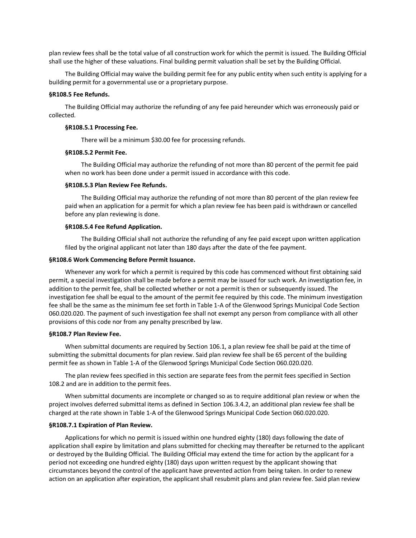plan review fees shall be the total value of all construction work for which the permit is issued. The Building Official shall use the higher of these valuations. Final building permit valuation shall be set by the Building Official.

The Building Official may waive the building permit fee for any public entity when such entity is applying for a building permit for a governmental use or a proprietary purpose.

#### **§R108.5 Fee Refunds.**

The Building Official may authorize the refunding of any fee paid hereunder which was erroneously paid or collected.

#### **§R108.5.1 Processing Fee.**

There will be a minimum \$30.00 fee for processing refunds.

#### **§R108.5.2 Permit Fee.**

The Building Official may authorize the refunding of not more than 80 percent of the permit fee paid when no work has been done under a permit issued in accordance with this code.

#### **§R108.5.3 Plan Review Fee Refunds.**

The Building Official may authorize the refunding of not more than 80 percent of the plan review fee paid when an application for a permit for which a plan review fee has been paid is withdrawn or cancelled before any plan reviewing is done.

#### **§R108.5.4 Fee Refund Application.**

The Building Official shall not authorize the refunding of any fee paid except upon written application filed by the original applicant not later than 180 days after the date of the fee payment.

#### **§R108.6 Work Commencing Before Permit Issuance.**

Whenever any work for which a permit is required by this code has commenced without first obtaining said permit, a special investigation shall be made before a permit may be issued for such work. An investigation fee, in addition to the permit fee, shall be collected whether or not a permit is then or subsequently issued. The investigation fee shall be equal to the amount of the permit fee required by this code. The minimum investigation fee shall be the same as the minimum fee set forth in Table 1-A of the Glenwood Springs Municipal Code Section 060.020.020. The payment of such investigation fee shall not exempt any person from compliance with all other provisions of this code nor from any penalty prescribed by law.

#### **§R108.7 Plan Review Fee.**

When submittal documents are required by Section 106.1, a plan review fee shall be paid at the time of submitting the submittal documents for plan review. Said plan review fee shall be 65 percent of the building permit fee as shown in Table 1-A of the Glenwood Springs Municipal Code Section 060.020.020.

The plan review fees specified in this section are separate fees from the permit fees specified in Section 108.2 and are in addition to the permit fees.

When submittal documents are incomplete or changed so as to require additional plan review or when the project involves deferred submittal items as defined in Section 106.3.4.2, an additional plan review fee shall be charged at the rate shown in Table 1-A of the Glenwood Springs Municipal Code Section 060.020.020.

#### **§R108.7.1 Expiration of Plan Review.**

Applications for which no permit is issued within one hundred eighty (180) days following the date of application shall expire by limitation and plans submitted for checking may thereafter be returned to the applicant or destroyed by the Building Official. The Building Official may extend the time for action by the applicant for a period not exceeding one hundred eighty (180) days upon written request by the applicant showing that circumstances beyond the control of the applicant have prevented action from being taken. In order to renew action on an application after expiration, the applicant shall resubmit plans and plan review fee. Said plan review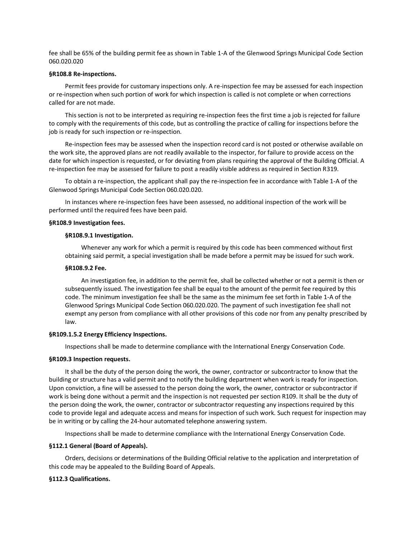fee shall be 65% of the building permit fee as shown in Table 1-A of the Glenwood Springs Municipal Code Section 060.020.020

#### **§R108.8 Re-inspections.**

Permit fees provide for customary inspections only. A re-inspection fee may be assessed for each inspection or re-inspection when such portion of work for which inspection is called is not complete or when corrections called for are not made.

This section is not to be interpreted as requiring re-inspection fees the first time a job is rejected for failure to comply with the requirements of this code, but as controlling the practice of calling for inspections before the job is ready for such inspection or re-inspection.

Re-inspection fees may be assessed when the inspection record card is not posted or otherwise available on the work site, the approved plans are not readily available to the inspector, for failure to provide access on the date for which inspection is requested, or for deviating from plans requiring the approval of the Building Official. A re-inspection fee may be assessed for failure to post a readily visible address as required in Section R319.

To obtain a re-inspection, the applicant shall pay the re-inspection fee in accordance with Table 1-A of the Glenwood Springs Municipal Code Section 060.020.020.

In instances where re-inspection fees have been assessed, no additional inspection of the work will be performed until the required fees have been paid.

#### **§R108.9 Investigation fees.**

#### **§R108.9.1 Investigation.**

Whenever any work for which a permit is required by this code has been commenced without first obtaining said permit, a special investigation shall be made before a permit may be issued for such work.

#### **§R108.9.2 Fee.**

An investigation fee, in addition to the permit fee, shall be collected whether or not a permit is then or subsequently issued. The investigation fee shall be equal to the amount of the permit fee required by this code. The minimum investigation fee shall be the same as the minimum fee set forth in Table 1-A of the Glenwood Springs Municipal Code Section 060.020.020. The payment of such investigation fee shall not exempt any person from compliance with all other provisions of this code nor from any penalty prescribed by law.

#### **§R109.1.5.2 Energy Efficiency Inspections.**

Inspections shall be made to determine compliance with the International Energy Conservation Code.

#### **§R109.3 Inspection requests.**

It shall be the duty of the person doing the work, the owner, contractor or subcontractor to know that the building or structure has a valid permit and to notify the building department when work is ready for inspection. Upon conviction, a fine will be assessed to the person doing the work, the owner, contractor or subcontractor if work is being done without a permit and the inspection is not requested per section R109. It shall be the duty of the person doing the work, the owner, contractor or subcontractor requesting any inspections required by this code to provide legal and adequate access and means for inspection of such work. Such request for inspection may be in writing or by calling the 24-hour automated telephone answering system.

Inspections shall be made to determine compliance with the International Energy Conservation Code.

#### **§112.1 General (Board of Appeals).**

Orders, decisions or determinations of the Building Official relative to the application and interpretation of this code may be appealed to the Building Board of Appeals.

#### **§112.3 Qualifications.**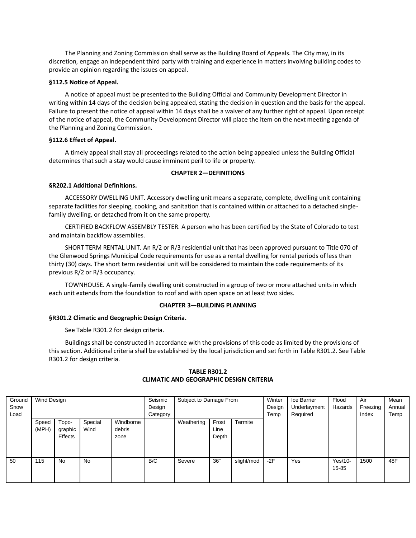The Planning and Zoning Commission shall serve as the Building Board of Appeals. The City may, in its discretion, engage an independent third party with training and experience in matters involving building codes to provide an opinion regarding the issues on appeal.

### **§112.5 Notice of Appeal.**

A notice of appeal must be presented to the Building Official and Community Development Director in writing within 14 days of the decision being appealed, stating the decision in question and the basis for the appeal. Failure to present the notice of appeal within 14 days shall be a waiver of any further right of appeal. Upon receipt of the notice of appeal, the Community Development Director will place the item on the next meeting agenda of the Planning and Zoning Commission.

# **§112.6 Effect of Appeal.**

A timely appeal shall stay all proceedings related to the action being appealed unless the Building Official determines that such a stay would cause imminent peril to life or property.

# **CHAPTER 2—DEFINITIONS**

# **§R202.1 Additional Definitions.**

ACCESSORY DWELLING UNIT. Accessory dwelling unit means a separate, complete, dwelling unit containing separate facilities for sleeping, cooking, and sanitation that is contained within or attached to a detached singlefamily dwelling, or detached from it on the same property.

CERTIFIED BACKFLOW ASSEMBLY TESTER. A person who has been certified by the State of Colorado to test and maintain backflow assemblies.

SHORT TERM RENTAL UNIT. An R/2 or R/3 residential unit that has been approved pursuant to Title 070 of the Glenwood Springs Municipal Code requirements for use as a rental dwelling for rental periods of less than thirty (30) days. The short term residential unit will be considered to maintain the code requirements of its previous R/2 or R/3 occupancy.

TOWNHOUSE. A single-family dwelling unit constructed in a group of two or more attached units in which each unit extends from the foundation to roof and with open space on at least two sides.

### **CHAPTER 3—BUILDING PLANNING**

# **§R301.2 Climatic and Geographic Design Criteria.**

See Table R301.2 for design criteria.

Buildings shall be constructed in accordance with the provisions of this code as limited by the provisions of this section. Additional criteria shall be established by the local jurisdiction and set forth in Table R301.2. See Table R301.2 for design criteria.

| Ground<br>Snow<br>Load | Wind Design    |                             |                 | Seismic<br>Design<br>Category | Subject to Damage From |            |                        | Winter<br>Design<br>Temp | Ice Barrier<br>Underlayment<br>Required | Flood<br>Hazards | Air<br>Freezing<br>Index | Mean<br>Annual<br>Temp |     |
|------------------------|----------------|-----------------------------|-----------------|-------------------------------|------------------------|------------|------------------------|--------------------------|-----------------------------------------|------------------|--------------------------|------------------------|-----|
|                        | Speed<br>(MPH) | Topo-<br>graphic<br>Effects | Special<br>Wind | Windborne<br>debris<br>zone   |                        | Weathering | Frost<br>Line<br>Depth | Termite                  |                                         |                  |                          |                        |     |
| 50                     | 115            | No                          | No              |                               | B/C                    | Severe     | 36"                    | slight/mod               | $-2F$                                   | Yes              | $Yes/10-$<br>$15 - 85$   | 1500                   | 48F |

# **TABLE R301.2 CLIMATIC AND GEOGRAPHIC DESIGN CRITERIA**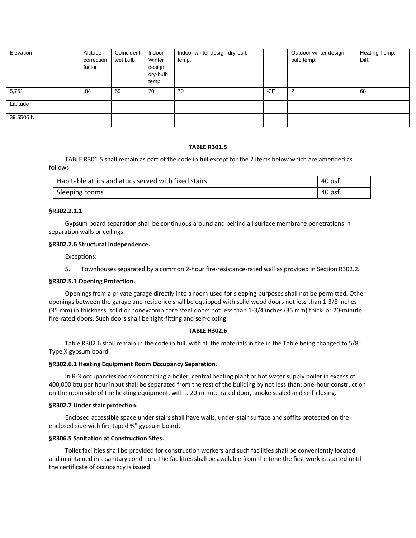| Elevation | Altitude<br>correction<br>factor | Coincident<br>wet bulb | Indoor<br>Winter<br>design<br>dry-bulb<br>temp. | Indoor winter design dry-bulb<br>temp. |       | Outdoor winter design<br>bulb temp. | Heating Temp.<br>Diff. |
|-----------|----------------------------------|------------------------|-------------------------------------------------|----------------------------------------|-------|-------------------------------------|------------------------|
| 5,761     | .84                              | 59                     | 70                                              | 70                                     | $-2F$ | ົ                                   | 68                     |
| Latitude  |                                  |                        |                                                 |                                        |       |                                     |                        |
| 39.5506 N |                                  |                        |                                                 |                                        |       |                                     |                        |

#### **TABLE R301.5**

TABLE R301.5 shall remain as part of the code in full except for the 2 items below which are amended as follows:

| Habitable attics and attics served with fixed stairs | 40 psf. |
|------------------------------------------------------|---------|
| Sleeping rooms                                       | 40 psf. |

#### **§R302.2.1.1**

Gypsum board separation shall be continuous around and behind all surface membrane penetrations in separation walls or ceilings.

#### **§R302.2.6 Structural Independence.**

Exceptions:

5. Townhouses separated by a common 2-hour fire-resistance-rated wall as provided in Section R302.2.

#### **§R302.5.1 Opening Protection.**

Openings from a private garage directly into a room used for sleeping purposes shall not be permitted. Other openings between the garage and residence shall be equipped with solid wood doors not less than 1-3/8 inches (35 mm) in thickness, solid or honeycomb core steel doors not less than 1-3/4 inches (35 mm) thick, or 20-minute fire-rated doors. Such doors shall be tight-fitting and self-closing.

#### **TABLE R302.6**

Table R302.6 shall remain in the code in full, with all the materials in the in the Table being changed to 5/8" Type X gypsum board.

#### **§R302.6.1 Heating Equipment Room Occupancy Separation.**

In R-3 occupancies rooms containing a boiler, central heating plant or hot water supply boiler in excess of 400,000 btu per hour input shall be separated from the rest of the building by not less than: one-hour construction on the room side of the heating equipment, with a 20-minute rated door, smoke sealed and self-closing.

### **§R302.7 Under stair protection.**

Enclosed accessible space under stairs shall have walls, under-stair surface and soffits protected on the enclosed side with fire taped ⅝" gypsum board.

### **§R306.5 Sanitation at Construction Sites.**

Toilet facilities shall be provided for construction workers and such facilities shall be conveniently located and maintained in a sanitary condition. The facilities shall be available from the time the first work is started until the certificate of occupancy is issued.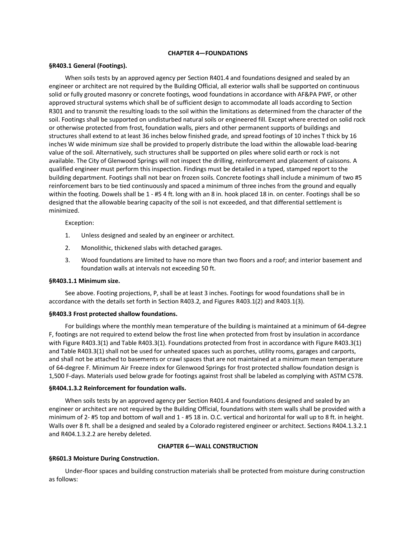#### **CHAPTER 4—FOUNDATIONS**

#### **§R403.1 General (Footings).**

When soils tests by an approved agency per Section R401.4 and foundations designed and sealed by an engineer or architect are not required by the Building Official, all exterior walls shall be supported on continuous solid or fully grouted masonry or concrete footings, wood foundations in accordance with AF&PA PWF, or other approved structural systems which shall be of sufficient design to accommodate all loads according to Section R301 and to transmit the resulting loads to the soil within the limitations as determined from the character of the soil. Footings shall be supported on undisturbed natural soils or engineered fill. Except where erected on solid rock or otherwise protected from frost, foundation walls, piers and other permanent supports of buildings and structures shall extend to at least 36 inches below finished grade, and spread footings of 10 inches T thick by 16 inches W wide minimum size shall be provided to properly distribute the load within the allowable load-bearing value of the soil. Alternatively, such structures shall be supported on piles where solid earth or rock is not available. The City of Glenwood Springs will not inspect the drilling, reinforcement and placement of caissons. A qualified engineer must perform this inspection. Findings must be detailed in a typed, stamped report to the building department. Footings shall not bear on frozen soils. Concrete footings shall include a minimum of two #5 reinforcement bars to be tied continuously and spaced a minimum of three inches from the ground and equally within the footing. Dowels shall be 1 - #5 4 ft. long with an 8 in. hook placed 18 in. on center. Footings shall be so designed that the allowable bearing capacity of the soil is not exceeded, and that differential settlement is minimized.

#### Exception:

- 1. Unless designed and sealed by an engineer or architect.
- 2. Monolithic, thickened slabs with detached garages.
- 3. Wood foundations are limited to have no more than two floors and a roof; and interior basement and foundation walls at intervals not exceeding 50 ft.

#### **§R403.1.1 Minimum size.**

See above. Footing projections, P, shall be at least 3 inches. Footings for wood foundations shall be in accordance with the details set forth in Section R403.2, and Figures R403.1(2) and R403.1(3).

#### **§R403.3 Frost protected shallow foundations.**

For buildings where the monthly mean temperature of the building is maintained at a minimum of 64-degree F, footings are not required to extend below the frost line when protected from frost by insulation in accordance with Figure R403.3(1) and Table R403.3(1). Foundations protected from frost in accordance with Figure R403.3(1) and Table R403.3(1) shall not be used for unheated spaces such as porches, utility rooms, garages and carports, and shall not be attached to basements or crawl spaces that are not maintained at a minimum mean temperature of 64-degree F. Minimum Air Freeze index for Glenwood Springs for frost protected shallow foundation design is 1,500 F-days. Materials used below grade for footings against frost shall be labeled as complying with ASTM C578.

### **§R404.1.3.2 Reinforcement for foundation walls.**

When soils tests by an approved agency per Section R401.4 and foundations designed and sealed by an engineer or architect are not required by the Building Official, foundations with stem walls shall be provided with a minimum of 2- #5 top and bottom of wall and 1 - #5 18 in. O.C. vertical and horizontal for wall up to 8 ft. in height. Walls over 8 ft. shall be a designed and sealed by a Colorado registered engineer or architect. Sections R404.1.3.2.1 and R404.1.3.2.2 are hereby deleted.

### **CHAPTER 6—WALL CONSTRUCTION**

### **§R601.3 Moisture During Construction.**

Under-floor spaces and building construction materials shall be protected from moisture during construction as follows: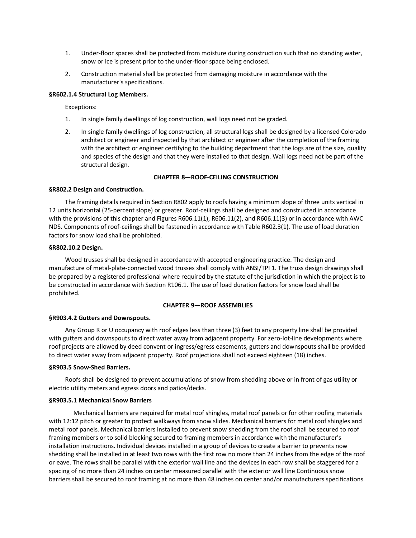- 1. Under-floor spaces shall be protected from moisture during construction such that no standing water, snow or ice is present prior to the under-floor space being enclosed.
- 2. Construction material shall be protected from damaging moisture in accordance with the manufacturer's specifications.

### **§R602.1.4 Structural Log Members.**

Exceptions:

- 1. In single family dwellings of log construction, wall logs need not be graded.
- 2. In single family dwellings of log construction, all structural logs shall be designed by a licensed Colorado architect or engineer and inspected by that architect or engineer after the completion of the framing with the architect or engineer certifying to the building department that the logs are of the size, quality and species of the design and that they were installed to that design. Wall logs need not be part of the structural design.

# **CHAPTER 8—ROOF-CEILING CONSTRUCTION**

### **§R802.2 Design and Construction.**

The framing details required in Section R802 apply to roofs having a minimum slope of three units vertical in 12 units horizontal (25-percent slope) or greater. Roof-ceilings shall be designed and constructed in accordance with the provisions of this chapter and Figures R606.11(1), R606.11(2), and R606.11(3) or in accordance with AWC NDS. Components of roof-ceilings shall be fastened in accordance with Table R602.3(1). The use of load duration factors for snow load shall be prohibited.

### **§R802.10.2 Design.**

Wood trusses shall be designed in accordance with accepted engineering practice. The design and manufacture of metal-plate-connected wood trusses shall comply with ANSI/TPI 1. The truss design drawings shall be prepared by a registered professional where required by the statute of the jurisdiction in which the project is to be constructed in accordance with Section R106.1. The use of load duration factors for snow load shall be prohibited.

# **CHAPTER 9—ROOF ASSEMBLIES**

# **§R903.4.2 Gutters and Downspouts.**

Any Group R or U occupancy with roof edges less than three (3) feet to any property line shall be provided with gutters and downspouts to direct water away from adjacent property. For zero-lot-line developments where roof projects are allowed by deed convent or ingress/egress easements, gutters and downspouts shall be provided to direct water away from adjacent property. Roof projections shall not exceed eighteen (18) inches.

### **§R903.5 Snow-Shed Barriers.**

Roofs shall be designed to prevent accumulations of snow from shedding above or in front of gas utility or electric utility meters and egress doors and patios/decks.

### **§R903.5.1 Mechanical Snow Barriers**

Mechanical barriers are required for metal roof shingles, metal roof panels or for other roofing materials with 12:12 pitch or greater to protect walkways from snow slides. Mechanical barriers for metal roof shingles and metal roof panels. Mechanical barriers installed to prevent snow shedding from the roof shall be secured to roof framing members or to solid blocking secured to framing members in accordance with the manufacturer's installation instructions. Individual devices installed in a group of devices to create a barrier to prevents now shedding shall be installed in at least two rows with the first row no more than 24 inches from the edge of the roof or eave. The rows shall be parallel with the exterior wall line and the devices in each row shall be staggered for a spacing of no more than 24 inches on center measured parallel with the exterior wall line Continuous snow barriers shall be secured to roof framing at no more than 48 inches on center and/or manufacturers specifications.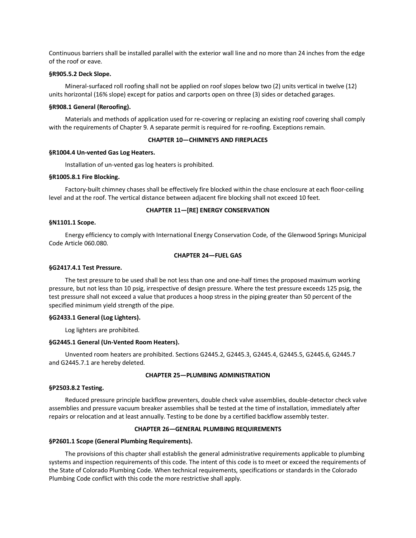Continuous barriers shall be installed parallel with the exterior wall line and no more than 24 inches from the edge of the roof or eave.

#### **§R905.5.2 Deck Slope.**

Mineral-surfaced roll roofing shall not be applied on roof slopes below two (2) units vertical in twelve (12) units horizontal (16% slope) except for patios and carports open on three (3) sides or detached garages.

#### **§R908.1 General (Reroofing).**

Materials and methods of application used for re-covering or replacing an existing roof covering shall comply with the requirements of Chapter 9. A separate permit is required for re-roofing. Exceptions remain.

#### **CHAPTER 10—CHIMNEYS AND FIREPLACES**

#### **§R1004.4 Un-vented Gas Log Heaters.**

Installation of un-vented gas log heaters is prohibited.

#### **§R1005.8.1 Fire Blocking.**

Factory-built chimney chases shall be effectively fire blocked within the chase enclosure at each floor-ceiling level and at the roof. The vertical distance between adjacent fire blocking shall not exceed 10 feet.

#### **CHAPTER 11—[RE] ENERGY CONSERVATION**

### **§N1101.1 Scope.**

Energy efficiency to comply with International Energy Conservation Code, of the Glenwood Springs Municipal Code Article 060.080.

### **CHAPTER 24—FUEL GAS**

#### **§G2417.4.1 Test Pressure.**

The test pressure to be used shall be not less than one and one-half times the proposed maximum working pressure, but not less than 10 psig, irrespective of design pressure. Where the test pressure exceeds 125 psig, the test pressure shall not exceed a value that produces a hoop stress in the piping greater than 50 percent of the specified minimum yield strength of the pipe.

#### **§G2433.1 General (Log Lighters).**

Log lighters are prohibited.

#### **§G2445.1 General (Un-Vented Room Heaters).**

Unvented room heaters are prohibited. Sections G2445.2, G2445.3, G2445.4, G2445.5, G2445.6, G2445.7 and G2445.7.1 are hereby deleted.

#### **CHAPTER 25—PLUMBING ADMINISTRATION**

#### **§P2503.8.2 Testing.**

Reduced pressure principle backflow preventers, double check valve assemblies, double-detector check valve assemblies and pressure vacuum breaker assemblies shall be tested at the time of installation, immediately after repairs or relocation and at least annually. Testing to be done by a certified backflow assembly tester.

#### **CHAPTER 26—GENERAL PLUMBING REQUIREMENTS**

#### **§P2601.1 Scope (General Plumbing Requirements).**

The provisions of this chapter shall establish the general administrative requirements applicable to plumbing systems and inspection requirements of this code. The intent of this code is to meet or exceed the requirements of the State of Colorado Plumbing Code. When technical requirements, specifications or standards in the Colorado Plumbing Code conflict with this code the more restrictive shall apply.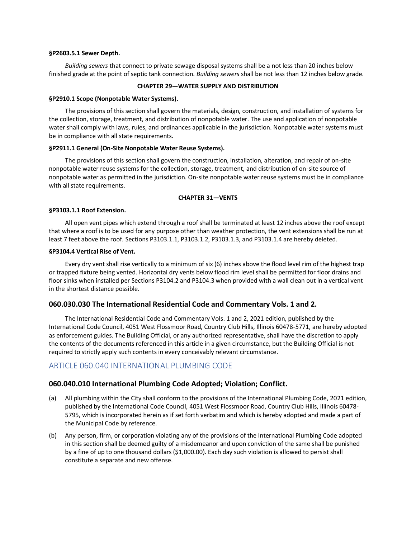#### **§P2603.5.1 Sewer Depth.**

*Building sewers* that connect to private sewage disposal systems shall be a not less than 20 inches below finished grade at the point of septic tank connection. *Building sewers* shall be not less than 12 inches below grade.

# **CHAPTER 29—WATER SUPPLY AND DISTRIBUTION**

#### **§P2910.1 Scope (Nonpotable Water Systems).**

The provisions of this section shall govern the materials, design, construction, and installation of systems for the collection, storage, treatment, and distribution of nonpotable water. The use and application of nonpotable water shall comply with laws, rules, and ordinances applicable in the jurisdiction. Nonpotable water systems must be in compliance with all state requirements.

#### **§P2911.1 General (On-Site Nonpotable Water Reuse Systems).**

The provisions of this section shall govern the construction, installation, alteration, and repair of on-site nonpotable water reuse systems for the collection, storage, treatment, and distribution of on-site source of nonpotable water as permitted in the jurisdiction. On-site nonpotable water reuse systems must be in compliance with all state requirements.

### **CHAPTER 31—VENTS**

#### **§P3103.1.1 Roof Extension.**

All open vent pipes which extend through a roof shall be terminated at least 12 inches above the roof except that where a roof is to be used for any purpose other than weather protection, the vent extensions shall be run at least 7 feet above the roof. Sections P3103.1.1, P3103.1.2, P3103.1.3, and P3103.1.4 are hereby deleted.

#### **§P3104.4 Vertical Rise of Vent.**

Every dry vent shall rise vertically to a minimum of six (6) inches above the flood level rim of the highest trap or trapped fixture being vented. Horizontal dry vents below flood rim level shall be permitted for floor drains and floor sinks when installed per Sections P3104.2 and P3104.3 when provided with a wall clean out in a vertical vent in the shortest distance possible.

# **060.030.030 The International Residential Code and Commentary Vols. 1 and 2.**

The International Residential Code and Commentary Vols. 1 and 2, 2021 edition, published by the International Code Council, 4051 West Flossmoor Road, Country Club Hills, Illinois 60478-5771, are hereby adopted as enforcement guides. The Building Official, or any authorized representative, shall have the discretion to apply the contents of the documents referenced in this article in a given circumstance, but the Building Official is not required to strictly apply such contents in every conceivably relevant circumstance.

# ARTICLE 060.040 INTERNATIONAL PLUMBING CODE

# **060.040.010 International Plumbing Code Adopted; Violation; Conflict.**

- (a) All plumbing within the City shall conform to the provisions of the International Plumbing Code, 2021 edition, published by the International Code Council, 4051 West Flossmoor Road, Country Club Hills, Illinois 60478- 5795, which is incorporated herein as if set forth verbatim and which is hereby adopted and made a part of the Municipal Code by reference.
- (b) Any person, firm, or corporation violating any of the provisions of the International Plumbing Code adopted in this section shall be deemed guilty of a misdemeanor and upon conviction of the same shall be punished by a fine of up to one thousand dollars (\$1,000.00). Each day such violation is allowed to persist shall constitute a separate and new offense.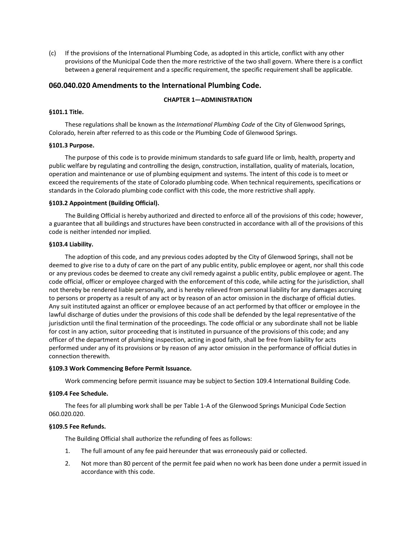(c) If the provisions of the International Plumbing Code, as adopted in this article, conflict with any other provisions of the Municipal Code then the more restrictive of the two shall govern. Where there is a conflict between a general requirement and a specific requirement, the specific requirement shall be applicable.

# **060.040.020 Amendments to the International Plumbing Code.**

# **CHAPTER 1—ADMINISTRATION**

# **§101.1 Title.**

These regulations shall be known as the *International Plumbing Code* of the City of Glenwood Springs, Colorado, herein after referred to as this code or the Plumbing Code of Glenwood Springs.

### **§101.3 Purpose.**

The purpose of this code is to provide minimum standards to safe guard life or limb, health, property and public welfare by regulating and controlling the design, construction, installation, quality of materials, location, operation and maintenance or use of plumbing equipment and systems. The intent of this code is to meet or exceed the requirements of the state of Colorado plumbing code. When technical requirements, specifications or standards in the Colorado plumbing code conflict with this code, the more restrictive shall apply.

#### **§103.2 Appointment (Building Official).**

The Building Official is hereby authorized and directed to enforce all of the provisions of this code; however, a guarantee that all buildings and structures have been constructed in accordance with all of the provisions of this code is neither intended nor implied.

#### **§103.4 Liability.**

The adoption of this code, and any previous codes adopted by the City of Glenwood Springs, shall not be deemed to give rise to a duty of care on the part of any public entity, public employee or agent, nor shall this code or any previous codes be deemed to create any civil remedy against a public entity, public employee or agent. The code official, officer or employee charged with the enforcement of this code, while acting for the jurisdiction, shall not thereby be rendered liable personally, and is hereby relieved from personal liability for any damages accruing to persons or property as a result of any act or by reason of an actor omission in the discharge of official duties. Any suit instituted against an officer or employee because of an act performed by that officer or employee in the lawful discharge of duties under the provisions of this code shall be defended by the legal representative of the jurisdiction until the final termination of the proceedings. The code official or any subordinate shall not be liable for cost in any action, suitor proceeding that is instituted in pursuance of the provisions of this code; and any officer of the department of plumbing inspection, acting in good faith, shall be free from liability for acts performed under any of its provisions or by reason of any actor omission in the performance of official duties in connection therewith.

### **§109.3 Work Commencing Before Permit Issuance.**

Work commencing before permit issuance may be subject to Section 109.4 International Building Code.

### **§109.4 Fee Schedule.**

The fees for all plumbing work shall be per Table 1-A of the Glenwood Springs Municipal Code Section 060.020.020.

### **§109.5 Fee Refunds.**

The Building Official shall authorize the refunding of fees as follows:

- 1. The full amount of any fee paid hereunder that was erroneously paid or collected.
- 2. Not more than 80 percent of the permit fee paid when no work has been done under a permit issued in accordance with this code.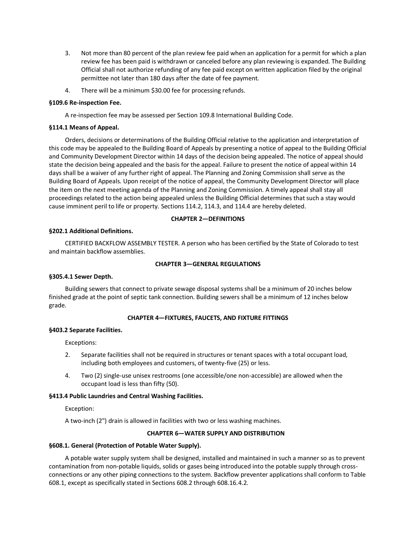- 3. Not more than 80 percent of the plan review fee paid when an application for a permit for which a plan review fee has been paid is withdrawn or canceled before any plan reviewing is expanded. The Building Official shall not authorize refunding of any fee paid except on written application filed by the original permittee not later than 180 days after the date of fee payment.
- 4. There will be a minimum \$30.00 fee for processing refunds.

# **§109.6 Re-inspection Fee.**

A re-inspection fee may be assessed per Section 109.8 International Building Code.

### **§114.1 Means of Appeal.**

Orders, decisions or determinations of the Building Official relative to the application and interpretation of this code may be appealed to the Building Board of Appeals by presenting a notice of appeal to the Building Official and Community Development Director within 14 days of the decision being appealed. The notice of appeal should state the decision being appealed and the basis for the appeal. Failure to present the notice of appeal within 14 days shall be a waiver of any further right of appeal. The Planning and Zoning Commission shall serve as the Building Board of Appeals. Upon receipt of the notice of appeal, the Community Development Director will place the item on the next meeting agenda of the Planning and Zoning Commission. A timely appeal shall stay all proceedings related to the action being appealed unless the Building Official determines that such a stay would cause imminent peril to life or property. Sections 114.2, 114.3, and 114.4 are hereby deleted.

# **CHAPTER 2—DEFINITIONS**

# **§202.1 Additional Definitions.**

CERTIFIED BACKFLOW ASSEMBLY TESTER. A person who has been certified by the State of Colorado to test and maintain backflow assemblies.

# **CHAPTER 3—GENERAL REGULATIONS**

### **§305.4.1 Sewer Depth.**

Building sewers that connect to private sewage disposal systems shall be a minimum of 20 inches below finished grade at the point of septic tank connection. Building sewers shall be a minimum of 12 inches below grade.

# **CHAPTER 4—FIXTURES, FAUCETS, AND FIXTURE FITTINGS**

### **§403.2 Separate Facilities.**

Exceptions:

- 2. Separate facilities shall not be required in structures or tenant spaces with a total occupant load, including both employees and customers, of twenty-five (25) or less.
- 4. Two (2) single-use unisex restrooms (one accessible/one non-accessible) are allowed when the occupant load is less than fifty (50).

### **§413.4 Public Laundries and Central Washing Facilities.**

Exception:

A two-inch (2") drain is allowed in facilities with two or less washing machines.

# **CHAPTER 6—WATER SUPPLY AND DISTRIBUTION**

### **§608.1. General (Protection of Potable Water Supply).**

A potable water supply system shall be designed, installed and maintained in such a manner so as to prevent contamination from non-potable liquids, solids or gases being introduced into the potable supply through crossconnections or any other piping connections to the system. Backflow preventer applications shall conform to Table 608.1, except as specifically stated in Sections 608.2 through 608.16.4.2.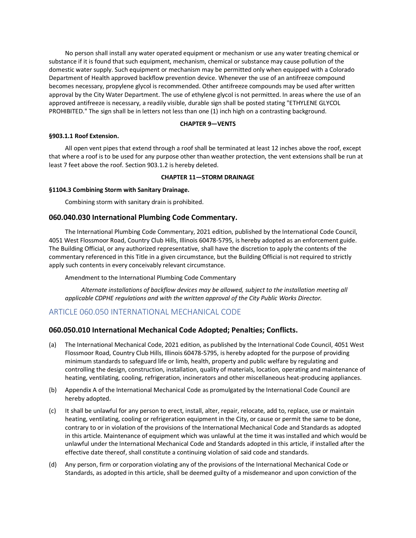No person shall install any water operated equipment or mechanism or use any water treating chemical or substance if it is found that such equipment, mechanism, chemical or substance may cause pollution of the domestic water supply. Such equipment or mechanism may be permitted only when equipped with a Colorado Department of Health approved backflow prevention device. Whenever the use of an antifreeze compound becomes necessary, propylene glycol is recommended. Other antifreeze compounds may be used after written approval by the City Water Department. The use of ethylene glycol is not permitted. In areas where the use of an approved antifreeze is necessary, a readily visible, durable sign shall be posted stating "ETHYLENE GLYCOL PROHIBITED." The sign shall be in letters not less than one (1) inch high on a contrasting background.

# **CHAPTER 9—VENTS**

### **§903.1.1 Roof Extension.**

All open vent pipes that extend through a roof shall be terminated at least 12 inches above the roof, except that where a roof is to be used for any purpose other than weather protection, the vent extensions shall be run at least 7 feet above the roof. Section 903.1.2 is hereby deleted.

### **CHAPTER 11—STORM DRAINAGE**

### **§1104.3 Combining Storm with Sanitary Drainage.**

Combining storm with sanitary drain is prohibited.

# **060.040.030 International Plumbing Code Commentary.**

The International Plumbing Code Commentary, 2021 edition, published by the International Code Council, 4051 West Flossmoor Road, Country Club Hills, Illinois 60478-5795, is hereby adopted as an enforcement guide. The Building Official, or any authorized representative, shall have the discretion to apply the contents of the commentary referenced in this Title in a given circumstance, but the Building Official is not required to strictly apply such contents in every conceivably relevant circumstance.

Amendment to the International Plumbing Code Commentary

*Alternate installations of backflow devices may be allowed, subject to the installation meeting all applicable CDPHE regulations and with the written approval of the City Public Works Director.*

# ARTICLE 060.050 INTERNATIONAL MECHANICAL CODE

# **060.050.010 International Mechanical Code Adopted; Penalties; Conflicts.**

- (a) The International Mechanical Code, 2021 edition, as published by the International Code Council, 4051 West Flossmoor Road, Country Club Hills, Illinois 60478-5795, is hereby adopted for the purpose of providing minimum standards to safeguard life or limb, health, property and public welfare by regulating and controlling the design, construction, installation, quality of materials, location, operating and maintenance of heating, ventilating, cooling, refrigeration, incinerators and other miscellaneous heat-producing appliances.
- (b) Appendix A of the International Mechanical Code as promulgated by the International Code Council are hereby adopted.
- (c) It shall be unlawful for any person to erect, install, alter, repair, relocate, add to, replace, use or maintain heating, ventilating, cooling or refrigeration equipment in the City, or cause or permit the same to be done, contrary to or in violation of the provisions of the International Mechanical Code and Standards as adopted in this article. Maintenance of equipment which was unlawful at the time it was installed and which would be unlawful under the International Mechanical Code and Standards adopted in this article, if installed after the effective date thereof, shall constitute a continuing violation of said code and standards.
- (d) Any person, firm or corporation violating any of the provisions of the International Mechanical Code or Standards, as adopted in this article, shall be deemed guilty of a misdemeanor and upon conviction of the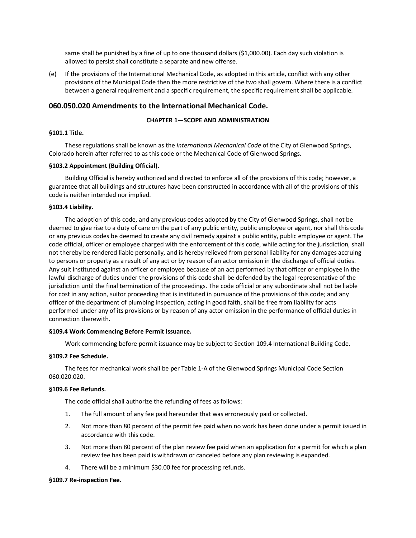same shall be punished by a fine of up to one thousand dollars (\$1,000.00). Each day such violation is allowed to persist shall constitute a separate and new offense.

(e) If the provisions of the International Mechanical Code, as adopted in this article, conflict with any other provisions of the Municipal Code then the more restrictive of the two shall govern. Where there is a conflict between a general requirement and a specific requirement, the specific requirement shall be applicable.

# **060.050.020 Amendments to the International Mechanical Code.**

# **CHAPTER 1—SCOPE AND ADMINISTRATION**

#### **§101.1 Title.**

These regulations shall be known as the *International Mechanical Code* of the City of Glenwood Springs, Colorado herein after referred to as this code or the Mechanical Code of Glenwood Springs.

#### **§103.2 Appointment (Building Official).**

Building Official is hereby authorized and directed to enforce all of the provisions of this code; however, a guarantee that all buildings and structures have been constructed in accordance with all of the provisions of this code is neither intended nor implied.

#### **§103.4 Liability.**

The adoption of this code, and any previous codes adopted by the City of Glenwood Springs, shall not be deemed to give rise to a duty of care on the part of any public entity, public employee or agent, nor shall this code or any previous codes be deemed to create any civil remedy against a public entity, public employee or agent. The code official, officer or employee charged with the enforcement of this code, while acting for the jurisdiction, shall not thereby be rendered liable personally, and is hereby relieved from personal liability for any damages accruing to persons or property as a result of any act or by reason of an actor omission in the discharge of official duties. Any suit instituted against an officer or employee because of an act performed by that officer or employee in the lawful discharge of duties under the provisions of this code shall be defended by the legal representative of the jurisdiction until the final termination of the proceedings. The code official or any subordinate shall not be liable for cost in any action, suitor proceeding that is instituted in pursuance of the provisions of this code; and any officer of the department of plumbing inspection, acting in good faith, shall be free from liability for acts performed under any of its provisions or by reason of any actor omission in the performance of official duties in connection therewith.

#### **§109.4 Work Commencing Before Permit Issuance.**

Work commencing before permit issuance may be subject to Section 109.4 International Building Code.

### **§109.2 Fee Schedule.**

The fees for mechanical work shall be per Table 1-A of the Glenwood Springs Municipal Code Section 060.020.020.

### **§109.6 Fee Refunds.**

The code official shall authorize the refunding of fees as follows:

- 1. The full amount of any fee paid hereunder that was erroneously paid or collected.
- 2. Not more than 80 percent of the permit fee paid when no work has been done under a permit issued in accordance with this code.
- 3. Not more than 80 percent of the plan review fee paid when an application for a permit for which a plan review fee has been paid is withdrawn or canceled before any plan reviewing is expanded.
- 4. There will be a minimum \$30.00 fee for processing refunds.

#### **§109.7 Re-inspection Fee.**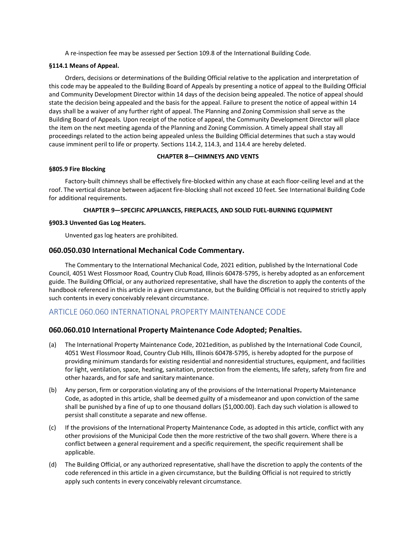A re-inspection fee may be assessed per Section 109.8 of the International Building Code.

# **§114.1 Means of Appeal.**

Orders, decisions or determinations of the Building Official relative to the application and interpretation of this code may be appealed to the Building Board of Appeals by presenting a notice of appeal to the Building Official and Community Development Director within 14 days of the decision being appealed. The notice of appeal should state the decision being appealed and the basis for the appeal. Failure to present the notice of appeal within 14 days shall be a waiver of any further right of appeal. The Planning and Zoning Commission shall serve as the Building Board of Appeals. Upon receipt of the notice of appeal, the Community Development Director will place the item on the next meeting agenda of the Planning and Zoning Commission. A timely appeal shall stay all proceedings related to the action being appealed unless the Building Official determines that such a stay would cause imminent peril to life or property. Sections 114.2, 114.3, and 114.4 are hereby deleted.

# **CHAPTER 8—CHIMNEYS AND VENTS**

# **§805.9 Fire Blocking**

Factory-built chimneys shall be effectively fire-blocked within any chase at each floor-ceiling level and at the roof. The vertical distance between adjacent fire-blocking shall not exceed 10 feet. See International Building Code for additional requirements.

# **CHAPTER 9—SPECIFIC APPLIANCES, FIREPLACES, AND SOLID FUEL-BURNING EQUIPMENT**

# **§903.3 Unvented Gas Log Heaters.**

Unvented gas log heaters are prohibited.

# **060.050.030 International Mechanical Code Commentary.**

The Commentary to the International Mechanical Code, 2021 edition, published by the International Code Council, 4051 West Flossmoor Road, Country Club Road, Illinois 60478-5795, is hereby adopted as an enforcement guide. The Building Official, or any authorized representative, shall have the discretion to apply the contents of the handbook referenced in this article in a given circumstance, but the Building Official is not required to strictly apply such contents in every conceivably relevant circumstance.

# ARTICLE 060.060 INTERNATIONAL PROPERTY MAINTENANCE CODE

# **060.060.010 International Property Maintenance Code Adopted; Penalties.**

- (a) The International Property Maintenance Code, 2021edition, as published by the International Code Council, 4051 West Flossmoor Road, Country Club Hills, Illinois 60478-5795, is hereby adopted for the purpose of providing minimum standards for existing residential and nonresidential structures, equipment, and facilities for light, ventilation, space, heating, sanitation, protection from the elements, life safety, safety from fire and other hazards, and for safe and sanitary maintenance.
- (b) Any person, firm or corporation violating any of the provisions of the International Property Maintenance Code, as adopted in this article, shall be deemed guilty of a misdemeanor and upon conviction of the same shall be punished by a fine of up to one thousand dollars (\$1,000.00). Each day such violation is allowed to persist shall constitute a separate and new offense.
- (c) If the provisions of the International Property Maintenance Code, as adopted in this article, conflict with any other provisions of the Municipal Code then the more restrictive of the two shall govern. Where there is a conflict between a general requirement and a specific requirement, the specific requirement shall be applicable.
- (d) The Building Official, or any authorized representative, shall have the discretion to apply the contents of the code referenced in this article in a given circumstance, but the Building Official is not required to strictly apply such contents in every conceivably relevant circumstance.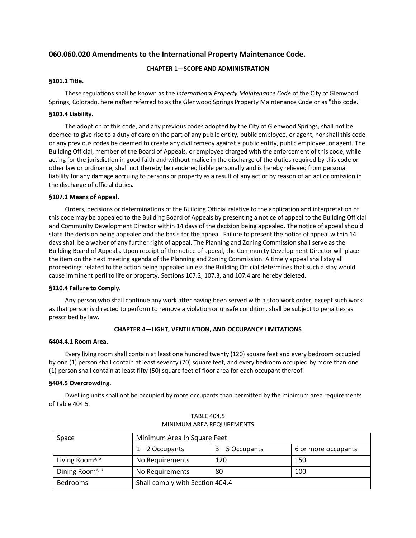# **060.060.020 Amendments to the International Property Maintenance Code.**

# **CHAPTER 1—SCOPE AND ADMINISTRATION**

# **§101.1 Title.**

These regulations shall be known as the *International Property Maintenance Code* of the City of Glenwood Springs, Colorado, hereinafter referred to as the Glenwood Springs Property Maintenance Code or as "this code."

### **§103.4 Liability.**

The adoption of this code, and any previous codes adopted by the City of Glenwood Springs, shall not be deemed to give rise to a duty of care on the part of any public entity, public employee, or agent, nor shall this code or any previous codes be deemed to create any civil remedy against a public entity, public employee, or agent. The Building Official, member of the Board of Appeals, or employee charged with the enforcement of this code, while acting for the jurisdiction in good faith and without malice in the discharge of the duties required by this code or other law or ordinance, shall not thereby be rendered liable personally and is hereby relieved from personal liability for any damage accruing to persons or property as a result of any act or by reason of an act or omission in the discharge of official duties.

# **§107.1 Means of Appeal.**

Orders, decisions or determinations of the Building Official relative to the application and interpretation of this code may be appealed to the Building Board of Appeals by presenting a notice of appeal to the Building Official and Community Development Director within 14 days of the decision being appealed. The notice of appeal should state the decision being appealed and the basis for the appeal. Failure to present the notice of appeal within 14 days shall be a waiver of any further right of appeal. The Planning and Zoning Commission shall serve as the Building Board of Appeals. Upon receipt of the notice of appeal, the Community Development Director will place the item on the next meeting agenda of the Planning and Zoning Commission. A timely appeal shall stay all proceedings related to the action being appealed unless the Building Official determines that such a stay would cause imminent peril to life or property. Sections 107.2, 107.3, and 107.4 are hereby deleted.

### **§110.4 Failure to Comply.**

Any person who shall continue any work after having been served with a stop work order, except such work as that person is directed to perform to remove a violation or unsafe condition, shall be subject to penalties as prescribed by law.

# **CHAPTER 4—LIGHT, VENTILATION, AND OCCUPANCY LIMITATIONS**

### **§404.4.1 Room Area.**

Every living room shall contain at least one hundred twenty (120) square feet and every bedroom occupied by one (1) person shall contain at least seventy (70) square feet, and every bedroom occupied by more than one (1) person shall contain at least fifty (50) square feet of floor area for each occupant thereof.

### **§404.5 Overcrowding.**

Dwelling units shall not be occupied by more occupants than permitted by the minimum area requirements of Table 404.5.

| Space                       | Minimum Area In Square Feet     |               |                     |  |  |  |  |
|-----------------------------|---------------------------------|---------------|---------------------|--|--|--|--|
|                             | $1 - 2$ Occupants               | 3–5 Occupants | 6 or more occupants |  |  |  |  |
| Living Room <sup>a, b</sup> | No Requirements                 | 120           | 150                 |  |  |  |  |
| Dining Room <sup>a, b</sup> | 80<br>100<br>No Requirements    |               |                     |  |  |  |  |
| <b>Bedrooms</b>             | Shall comply with Section 404.4 |               |                     |  |  |  |  |

TABLE 404.5 MINIMUM AREA REQUIREMENTS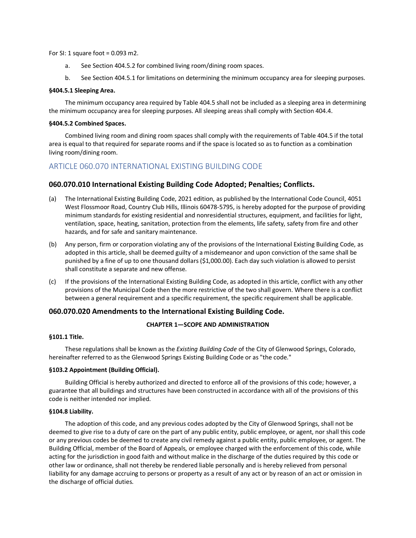For SI: 1 square foot =  $0.093$  m2.

- a. See Section 404.5.2 for combined living room/dining room spaces.
- b. See Section 404.5.1 for limitations on determining the minimum occupancy area for sleeping purposes.

#### **§404.5.1 Sleeping Area.**

The minimum occupancy area required by Table 404.5 shall not be included as a sleeping area in determining the minimum occupancy area for sleeping purposes. All sleeping areas shall comply with Section 404.4.

#### **§404.5.2 Combined Spaces.**

Combined living room and dining room spaces shall comply with the requirements of Table 404.5 if the total area is equal to that required for separate rooms and if the space is located so as to function as a combination living room/dining room.

# ARTICLE 060.070 INTERNATIONAL EXISTING BUILDING CODE

# **060.070.010 International Existing Building Code Adopted; Penalties; Conflicts.**

- (a) The International Existing Building Code, 2021 edition, as published by the International Code Council, 4051 West Flossmoor Road, Country Club Hills, Illinois 60478-5795, is hereby adopted for the purpose of providing minimum standards for existing residential and nonresidential structures, equipment, and facilities for light, ventilation, space, heating, sanitation, protection from the elements, life safety, safety from fire and other hazards, and for safe and sanitary maintenance.
- (b) Any person, firm or corporation violating any of the provisions of the International Existing Building Code, as adopted in this article, shall be deemed guilty of a misdemeanor and upon conviction of the same shall be punished by a fine of up to one thousand dollars (\$1,000.00). Each day such violation is allowed to persist shall constitute a separate and new offense.
- (c) If the provisions of the International Existing Building Code, as adopted in this article, conflict with any other provisions of the Municipal Code then the more restrictive of the two shall govern. Where there is a conflict between a general requirement and a specific requirement, the specific requirement shall be applicable.

# **060.070.020 Amendments to the International Existing Building Code.**

# **CHAPTER 1—SCOPE AND ADMINISTRATION**

#### **§101.1 Title.**

These regulations shall be known as the *Existing Building Code* of the City of Glenwood Springs, Colorado, hereinafter referred to as the Glenwood Springs Existing Building Code or as "the code."

# **§103.2 Appointment (Building Official).**

Building Official is hereby authorized and directed to enforce all of the provisions of this code; however, a guarantee that all buildings and structures have been constructed in accordance with all of the provisions of this code is neither intended nor implied.

#### **§104.8 Liability.**

The adoption of this code, and any previous codes adopted by the City of Glenwood Springs, shall not be deemed to give rise to a duty of care on the part of any public entity, public employee, or agent, nor shall this code or any previous codes be deemed to create any civil remedy against a public entity, public employee, or agent. The Building Official, member of the Board of Appeals, or employee charged with the enforcement of this code, while acting for the jurisdiction in good faith and without malice in the discharge of the duties required by this code or other law or ordinance, shall not thereby be rendered liable personally and is hereby relieved from personal liability for any damage accruing to persons or property as a result of any act or by reason of an act or omission in the discharge of official duties.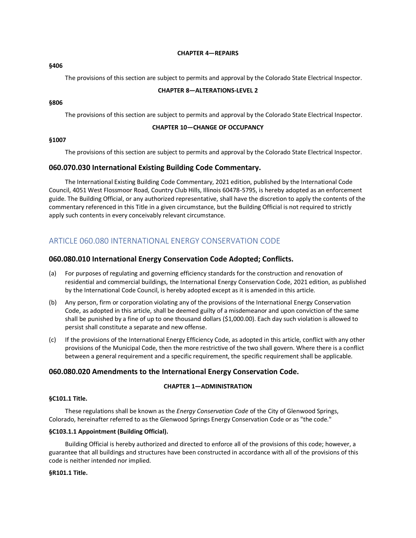#### **CHAPTER 4—REPAIRS**

#### **§406**

The provisions of this section are subject to permits and approval by the Colorado State Electrical Inspector.

### **CHAPTER 8—ALTERATIONS-LEVEL 2**

### **§806**

The provisions of this section are subject to permits and approval by the Colorado State Electrical Inspector.

### **CHAPTER 10—CHANGE OF OCCUPANCY**

### **§1007**

The provisions of this section are subject to permits and approval by the Colorado State Electrical Inspector.

# **060.070.030 International Existing Building Code Commentary.**

The International Existing Building Code Commentary, 2021 edition, published by the International Code Council, 4051 West Flossmoor Road, Country Club Hills, Illinois 60478-5795, is hereby adopted as an enforcement guide. The Building Official, or any authorized representative, shall have the discretion to apply the contents of the commentary referenced in this Title in a given circumstance, but the Building Official is not required to strictly apply such contents in every conceivably relevant circumstance.

# ARTICLE 060.080 INTERNATIONAL ENERGY CONSERVATION CODE

# **060.080.010 International Energy Conservation Code Adopted; Conflicts.**

- (a) For purposes of regulating and governing efficiency standards for the construction and renovation of residential and commercial buildings, the International Energy Conservation Code, 2021 edition, as published by the International Code Council, is hereby adopted except as it is amended in this article.
- (b) Any person, firm or corporation violating any of the provisions of the International Energy Conservation Code, as adopted in this article, shall be deemed guilty of a misdemeanor and upon conviction of the same shall be punished by a fine of up to one thousand dollars (\$1,000.00). Each day such violation is allowed to persist shall constitute a separate and new offense.
- (c) If the provisions of the International Energy Efficiency Code, as adopted in this article, conflict with any other provisions of the Municipal Code, then the more restrictive of the two shall govern. Where there is a conflict between a general requirement and a specific requirement, the specific requirement shall be applicable.

# **060.080.020 Amendments to the International Energy Conservation Code.**

# **CHAPTER 1—ADMINISTRATION**

### **§C101.1 Title.**

These regulations shall be known as the *Energy Conservation Code* of the City of Glenwood Springs, Colorado, hereinafter referred to as the Glenwood Springs Energy Conservation Code or as "the code."

### **§C103.1.1 Appointment (Building Official).**

Building Official is hereby authorized and directed to enforce all of the provisions of this code; however, a guarantee that all buildings and structures have been constructed in accordance with all of the provisions of this code is neither intended nor implied.

#### **§R101.1 Title.**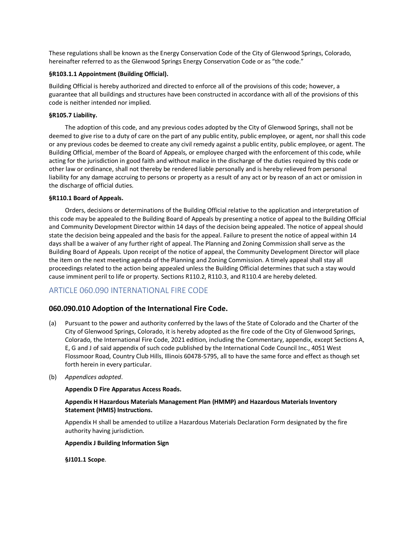These regulations shall be known as the Energy Conservation Code of the City of Glenwood Springs, Colorado, hereinafter referred to as the Glenwood Springs Energy Conservation Code or as "the code."

# **§R103.1.1 Appointment (Building Official).**

Building Official is hereby authorized and directed to enforce all of the provisions of this code; however, a guarantee that all buildings and structures have been constructed in accordance with all of the provisions of this code is neither intended nor implied.

# **§R105.7 Liability.**

The adoption of this code, and any previous codes adopted by the City of Glenwood Springs, shall not be deemed to give rise to a duty of care on the part of any public entity, public employee, or agent, nor shall this code or any previous codes be deemed to create any civil remedy against a public entity, public employee, or agent. The Building Official, member of the Board of Appeals, or employee charged with the enforcement of this code, while acting for the jurisdiction in good faith and without malice in the discharge of the duties required by this code or other law or ordinance, shall not thereby be rendered liable personally and is hereby relieved from personal liability for any damage accruing to persons or property as a result of any act or by reason of an act or omission in the discharge of official duties.

# **§R110.1 Board of Appeals.**

Orders, decisions or determinations of the Building Official relative to the application and interpretation of this code may be appealed to the Building Board of Appeals by presenting a notice of appeal to the Building Official and Community Development Director within 14 days of the decision being appealed. The notice of appeal should state the decision being appealed and the basis for the appeal. Failure to present the notice of appeal within 14 days shall be a waiver of any further right of appeal. The Planning and Zoning Commission shall serve as the Building Board of Appeals. Upon receipt of the notice of appeal, the Community Development Director will place the item on the next meeting agenda of the Planning and Zoning Commission. A timely appeal shall stay all proceedings related to the action being appealed unless the Building Official determines that such a stay would cause imminent peril to life or property. Sections R110.2, R110.3, and R110.4 are hereby deleted.

# ARTICLE 060.090 INTERNATIONAL FIRE CODE

# **060.090.010 Adoption of the International Fire Code.**

- (a) Pursuant to the power and authority conferred by the laws of the State of Colorado and the Charter of the City of Glenwood Springs, Colorado, it is hereby adopted as the fire code of the City of Glenwood Springs, Colorado, the International Fire Code, 2021 edition, including the Commentary, appendix, except Sections A, E, G and J of said appendix of such code published by the International Code Council Inc., 4051 West Flossmoor Road, Country Club Hills, Illinois 60478-5795, all to have the same force and effect as though set forth herein in every particular.
- (b) *Appendices adopted*.

### **Appendix D Fire Apparatus Access Roads.**

# **Appendix H Hazardous Materials Management Plan (HMMP) and Hazardous Materials Inventory Statement (HMIS) Instructions.**

Appendix H shall be amended to utilize a Hazardous Materials Declaration Form designated by the fire authority having jurisdiction.

### **Appendix J Building Information Sign**

**§J101.1 Scope**.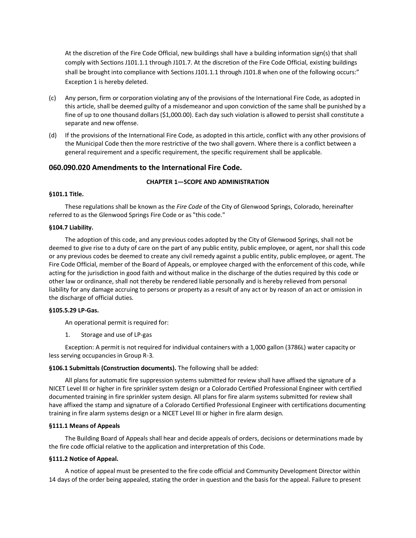At the discretion of the Fire Code Official, new buildings shall have a building information sign(s) that shall comply with Sections J101.1.1 through J101.7. At the discretion of the Fire Code Official, existing buildings shall be brought into compliance with Sections J101.1.1 through J101.8 when one of the following occurs:" Exception 1 is hereby deleted.

- (c) Any person, firm or corporation violating any of the provisions of the International Fire Code, as adopted in this article, shall be deemed guilty of a misdemeanor and upon conviction of the same shall be punished by a fine of up to one thousand dollars (\$1,000.00). Each day such violation is allowed to persist shall constitute a separate and new offense.
- (d) If the provisions of the International Fire Code, as adopted in this article, conflict with any other provisions of the Municipal Code then the more restrictive of the two shall govern. Where there is a conflict between a general requirement and a specific requirement, the specific requirement shall be applicable.

# **060.090.020 Amendments to the International Fire Code.**

### **CHAPTER 1—SCOPE AND ADMINISTRATION**

# **§101.1 Title.**

These regulations shall be known as the *Fire Code* of the City of Glenwood Springs, Colorado, hereinafter referred to as the Glenwood Springs Fire Code or as "this code."

#### **§104.7 Liability.**

The adoption of this code, and any previous codes adopted by the City of Glenwood Springs, shall not be deemed to give rise to a duty of care on the part of any public entity, public employee, or agent, nor shall this code or any previous codes be deemed to create any civil remedy against a public entity, public employee, or agent. The Fire Code Official, member of the Board of Appeals, or employee charged with the enforcement of this code, while acting for the jurisdiction in good faith and without malice in the discharge of the duties required by this code or other law or ordinance, shall not thereby be rendered liable personally and is hereby relieved from personal liability for any damage accruing to persons or property as a result of any act or by reason of an act or omission in the discharge of official duties.

#### **§105.5.29 LP-Gas.**

An operational permit is required for:

1. Storage and use of LP-gas

Exception: A permit is not required for individual containers with a 1,000 gallon (3786L) water capacity or less serving occupancies in Group R-3.

#### **§106.1 Submittals (Construction documents).** The following shall be added:

All plans for automatic fire suppression systems submitted for review shall have affixed the signature of a NICET Level III or higher in fire sprinkler system design or a Colorado Certified Professional Engineer with certified documented training in fire sprinkler system design. All plans for fire alarm systems submitted for review shall have affixed the stamp and signature of a Colorado Certified Professional Engineer with certifications documenting training in fire alarm systems design or a NICET Level III or higher in fire alarm design.

### **§111.1 Means of Appeals**

The Building Board of Appeals shall hear and decide appeals of orders, decisions or determinations made by the fire code official relative to the application and interpretation of this Code.

#### **§111.2 Notice of Appeal.**

A notice of appeal must be presented to the fire code official and Community Development Director within 14 days of the order being appealed, stating the order in question and the basis for the appeal. Failure to present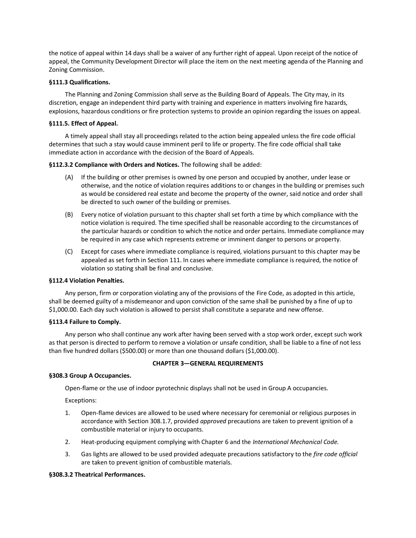the notice of appeal within 14 days shall be a waiver of any further right of appeal. Upon receipt of the notice of appeal, the Community Development Director will place the item on the next meeting agenda of the Planning and Zoning Commission.

### **§111.3 Qualifications.**

The Planning and Zoning Commission shall serve as the Building Board of Appeals. The City may, in its discretion, engage an independent third party with training and experience in matters involving fire hazards, explosions, hazardous conditions or fire protection systems to provide an opinion regarding the issues on appeal.

# **§111.5. Effect of Appeal.**

A timely appeal shall stay all proceedings related to the action being appealed unless the fire code official determines that such a stay would cause imminent peril to life or property. The fire code official shall take immediate action in accordance with the decision of the Board of Appeals.

**§112.3.2 Compliance with Orders and Notices.** The following shall be added:

- (A) If the building or other premises is owned by one person and occupied by another, under lease or otherwise, and the notice of violation requires additions to or changes in the building or premises such as would be considered real estate and become the property of the owner, said notice and order shall be directed to such owner of the building or premises.
- (B) Every notice of violation pursuant to this chapter shall set forth a time by which compliance with the notice violation is required. The time specified shall be reasonable according to the circumstances of the particular hazards or condition to which the notice and order pertains. Immediate compliance may be required in any case which represents extreme or imminent danger to persons or property.
- (C) Except for cases where immediate compliance is required, violations pursuant to this chapter may be appealed as set forth in Section 111. In cases where immediate compliance is required, the notice of violation so stating shall be final and conclusive.

### **§112.4 Violation Penalties.**

Any person, firm or corporation violating any of the provisions of the Fire Code, as adopted in this article, shall be deemed guilty of a misdemeanor and upon conviction of the same shall be punished by a fine of up to \$1,000.00. Each day such violation is allowed to persist shall constitute a separate and new offense.

### **§113.4 Failure to Comply.**

Any person who shall continue any work after having been served with a stop work order, except such work as that person is directed to perform to remove a violation or unsafe condition, shall be liable to a fine of not less than five hundred dollars (\$500.00) or more than one thousand dollars (\$1,000.00).

### **CHAPTER 3—GENERAL REQUIREMENTS**

### **§308.3 Group A Occupancies.**

Open-flame or the use of indoor pyrotechnic displays shall not be used in Group A occupancies.

Exceptions:

- 1. Open-flame devices are allowed to be used where necessary for ceremonial or religious purposes in accordance with Section 308.1.7, provided *approved* precautions are taken to prevent ignition of a combustible material or injury to occupants.
- 2. Heat-producing equipment complying with Chapter 6 and the *International Mechanical Code.*
- 3. Gas lights are allowed to be used provided adequate precautions satisfactory to the *fire code official* are taken to prevent ignition of combustible materials.

### **§308.3.2 Theatrical Performances.**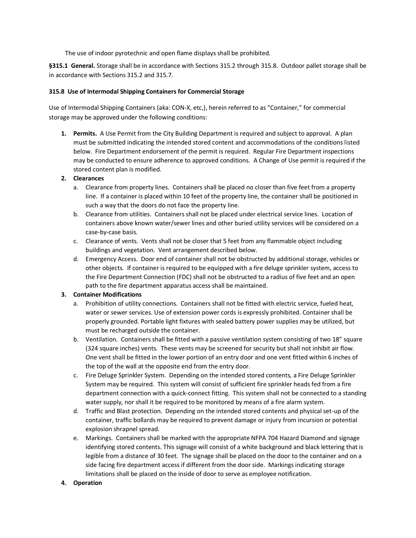The use of indoor pyrotechnic and open flame displays shall be prohibited.

**§315.1 General.** Storage shall be in accordance with Sections 315.2 through 315.8. Outdoor pallet storage shall be in accordance with Sections 315.2 and 315.7.

# **315.8 Use of Intermodal Shipping Containers for Commercial Storage**

Use of Intermodal Shipping Containers (aka: CON-X, etc,), herein referred to as "Container," for commercial storage may be approved under the following conditions:

**1. Permits.** A Use Permit from the City Building Department is required and subject to approval. A plan must be submitted indicating the intended stored content and accommodations of the conditions listed below. Fire Department endorsement of the permit is required. Regular Fire Department inspections may be conducted to ensure adherence to approved conditions. A Change of Use permit is required if the stored content plan is modified.

# **2. Clearances**

- a. Clearance from property lines. Containers shall be placed no closer than five feet from a property line. If a container is placed within 10 feet of the property line, the container shall be positioned in such a way that the doors do not face the property line.
- b. Clearance from utilities. Containers shall not be placed under electrical service lines. Location of containers above known water/sewer lines and other buried utility services will be considered on a case-by-case basis.
- c. Clearance of vents. Vents shall not be closer that 5 feet from any flammable object including buildings and vegetation. Vent arrangement described below.
- d. Emergency Access. Door end of container shall not be obstructed by additional storage, vehicles or other objects. If container is required to be equipped with a fire deluge sprinkler system, access to the Fire Department Connection (FDC) shall not be obstructed to a radius of five feet and an open path to the fire department apparatus access shall be maintained.

# **3. Container Modifications**

- a. Prohibition of utility connections. Containers shall not be fitted with electric service, fueled heat, water or sewer services. Use of extension power cords is expressly prohibited. Container shall be properly grounded. Portable light fixtures with sealed battery power supplies may be utilized, but must be recharged outside the container.
- b. Ventilation. Containers shall be fitted with a passive ventilation system consisting of two 18" square (324 square inches) vents. These vents may be screened for security but shall not inhibit air flow. One vent shall be fitted in the lower portion of an entry door and one vent fitted within 6 inches of the top of the wall at the opposite end from the entry door.
- c. Fire Deluge Sprinkler System. Depending on the intended stored contents, a Fire Deluge Sprinkler System may be required. This system will consist of sufficient fire sprinkler heads fed from a fire department connection with a quick-connect fitting. This system shall not be connected to a standing water supply, nor shall it be required to be monitored by means of a fire alarm system.
- d. Traffic and Blast protection. Depending on the intended stored contents and physical set-up of the container, traffic bollards may be required to prevent damage or injury from incursion or potential explosion shrapnel spread.
- e. Markings. Containers shall be marked with the appropriate NFPA 704 Hazard Diamond and signage identifying stored contents. This signage will consist of a white background and black lettering that is legible from a distance of 30 feet. The signage shall be placed on the door to the container and on a side facing fire department access if different from the door side. Markings indicating storage limitations shall be placed on the inside of door to serve as employee notification.

# **4. Operation**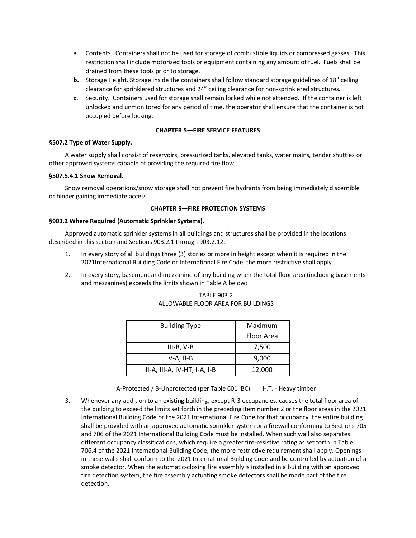- a. Contents. Containers shall not be used for storage of combustible liquids or compressed gasses. This restriction shall include motorized tools or equipment containing any amount of fuel. Fuels shall be drained from these tools prior to storage.
- **b.** Storage Height. Storage inside the containers shall follow standard storage guidelines of 18" ceiling clearance for sprinklered structures and 24" ceiling clearance for non-sprinklered structures.
- **c.** Security. Containers used for storage shall remain locked while not attended. If the container is left unlocked and unmonitored for any period of time, the operator shall ensure that the container is not occupied before locking.

# **CHAPTER 5—FIRE SERVICE FEATURES**

# **§507.2 Type of Water Supply.**

A water supply shall consist of reservoirs, pressurized tanks, elevated tanks, water mains, tender shuttles or other approved systems capable of providing the required fire flow.

# **§507.5.4.1 Snow Removal.**

Snow removal operations/snow storage shall not prevent fire hydrants from being immediately discernible or hinder gaining immediate access.

# **CHAPTER 9—FIRE PROTECTION SYSTEMS**

# **§903.2 Where Required (Automatic Sprinkler Systems).**

Approved automatic sprinkler systems in all buildings and structures shall be provided in the locations described in this section and Sections 903.2.1 through 903.2.12:

- 1. In every story of all buildings three (3) stories or more in height except when it is required in the 2021International Building Code or International Fire Code, the more restrictive shall apply.
- 2. In every story, basement and mezzanine of any building when the total floor area (including basements and mezzanines) exceeds the limits shown in Table A below:

| <b>TABLE 903.2</b>                 |
|------------------------------------|
| ALLOWABLE FLOOR AREA FOR BUILDINGS |
|                                    |

| <b>Building Type</b>         | Maximum    |  |  |  |
|------------------------------|------------|--|--|--|
|                              | Floor Area |  |  |  |
| $III-B, V-B$                 | 7,500      |  |  |  |
| V-A, II-B                    | 9,000      |  |  |  |
| II-A, III-A, IV-HT, I-A, I-B | 12,000     |  |  |  |

A-Protected / B-Unprotected (per Table 601 IBC) H.T. - Heavy timber

3. Whenever any addition to an existing building, except R-3 occupancies, causes the total floor area of the building to exceed the limits set forth in the preceding item number 2 or the floor areas in the 2021 International Building Code or the 2021 International Fire Code for that occupancy, the entire building shall be provided with an approved automatic sprinkler system or a firewall conforming to Sections 705 and 706 of the 2021 International Building Code must be installed. When such wall also separates different occupancy classifications, which require a greater fire-resistive rating as set forth in Table 706.4 of the 2021 International Building Code, the more restrictive requirement shall apply. Openings in these walls shall conform to the 2021 International Building Code and be controlled by actuation of a smoke detector. When the automatic-closing fire assembly is installed in a building with an approved fire detection system, the fire assembly actuating smoke detectors shall be made part of the fire detection.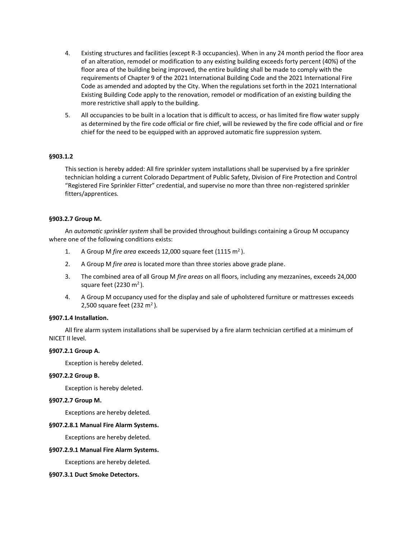- 4. Existing structures and facilities (except R-3 occupancies). When in any 24 month period the floor area of an alteration, remodel or modification to any existing building exceeds forty percent (40%) of the floor area of the building being improved, the entire building shall be made to comply with the requirements of Chapter 9 of the 2021 International Building Code and the 2021 International Fire Code as amended and adopted by the City. When the regulations set forth in the 2021 International Existing Building Code apply to the renovation, remodel or modification of an existing building the more restrictive shall apply to the building.
- 5. All occupancies to be built in a location that is difficult to access, or has limited fire flow water supply as determined by the fire code official or fire chief, will be reviewed by the fire code official and or fire chief for the need to be equipped with an approved automatic fire suppression system.

# **§903.1.2**

This section is hereby added: All fire sprinkler system installations shall be supervised by a fire sprinkler technician holding a current Colorado Department of Public Safety, Division of Fire Protection and Control "Registered Fire Sprinkler Fitter" credential, and supervise no more than three non-registered sprinkler fitters/apprentices.

# **§903.2.7 Group M.**

An *automatic sprinkler system* shall be provided throughout buildings containing a Group M occupancy where one of the following conditions exists:

- 1. A Group M *fire area* exceeds 12,000 square feet (1115 m<sup>2</sup>).
- 2. A Group M *fire area* is located more than three stories above grade plane.
- 3. The combined area of all Group M *fire areas* on all floors, including any mezzanines, exceeds 24,000 square feet (2230  $m<sup>2</sup>$ ).
- 4. A Group M occupancy used for the display and sale of upholstered furniture or mattresses exceeds 2,500 square feet (232 m<sup>2</sup>).

### **§907.1.4 Installation.**

All fire alarm system installations shall be supervised by a fire alarm technician certified at a minimum of NICET II level.

### **§907.2.1 Group A.**

Exception is hereby deleted.

### **§907.2.2 Group B.**

Exception is hereby deleted.

### **§907.2.7 Group M.**

Exceptions are hereby deleted.

### **§907.2.8.1 Manual Fire Alarm Systems.**

Exceptions are hereby deleted.

### **§907.2.9.1 Manual Fire Alarm Systems.**

Exceptions are hereby deleted.

### **§907.3.1 Duct Smoke Detectors.**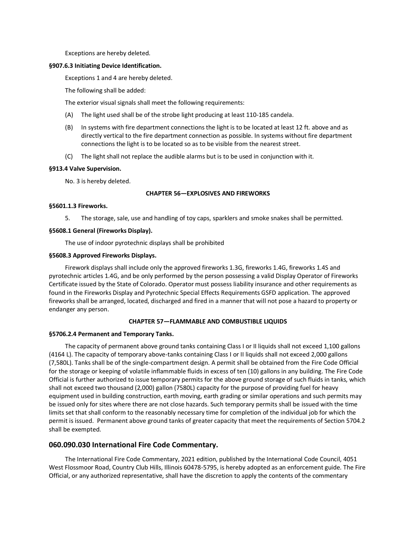Exceptions are hereby deleted.

#### **§907.6.3 Initiating Device Identification.**

Exceptions 1 and 4 are hereby deleted.

The following shall be added:

The exterior visual signals shall meet the following requirements:

- (A) The light used shall be of the strobe light producing at least 110-185 candela.
- (B) In systems with fire department connections the light is to be located at least 12 ft. above and as directly vertical to the fire department connection as possible. In systems without fire department connections the light is to be located so as to be visible from the nearest street.
- (C) The light shall not replace the audible alarms but is to be used in conjunction with it.

#### **§913.4 Valve Supervision.**

No. 3 is hereby deleted.

#### **CHAPTER 56—EXPLOSIVES AND FIREWORKS**

#### **§5601.1.3 Fireworks.**

5. The storage, sale, use and handling of toy caps, sparklers and smoke snakes shall be permitted.

#### **§5608.1 General (Fireworks Display).**

The use of indoor pyrotechnic displays shall be prohibited

#### **§5608.3 Approved Fireworks Displays.**

Firework displays shall include only the approved fireworks 1.3G, fireworks 1.4G, fireworks 1.4S and pyrotechnic articles 1.4G, and be only performed by the person possessing a valid Display Operator of Fireworks Certificate issued by the State of Colorado. Operator must possess liability insurance and other requirements as found in the Fireworks Display and Pyrotechnic Special Effects Requirements GSFD application. The approved fireworks shall be arranged, located, discharged and fired in a manner that will not pose a hazard to property or endanger any person.

# **CHAPTER 57—FLAMMABLE AND COMBUSTIBLE LIQUIDS**

#### **§5706.2.4 Permanent and Temporary Tanks.**

The capacity of permanent above ground tanks containing Class I or II liquids shall not exceed 1,100 gallons (4164 L). The capacity of temporary above-tanks containing Class I or II liquids shall not exceed 2,000 gallons (7,580L). Tanks shall be of the single-compartment design. A permit shall be obtained from the Fire Code Official for the storage or keeping of volatile inflammable fluids in excess of ten (10) gallons in any building. The Fire Code Official is further authorized to issue temporary permits for the above ground storage of such fluids in tanks, which shall not exceed two thousand (2,000) gallon (7580L) capacity for the purpose of providing fuel for heavy equipment used in building construction, earth moving, earth grading or similar operations and such permits may be issued only for sites where there are not close hazards. Such temporary permits shall be issued with the time limits set that shall conform to the reasonably necessary time for completion of the individual job for which the permit is issued. Permanent above ground tanks of greater capacity that meet the requirements of Section 5704.2 shall be exempted.

# **060.090.030 International Fire Code Commentary.**

The International Fire Code Commentary, 2021 edition, published by the International Code Council, 4051 West Flossmoor Road, Country Club Hills, Illinois 60478-5795, is hereby adopted as an enforcement guide. The Fire Official, or any authorized representative, shall have the discretion to apply the contents of the commentary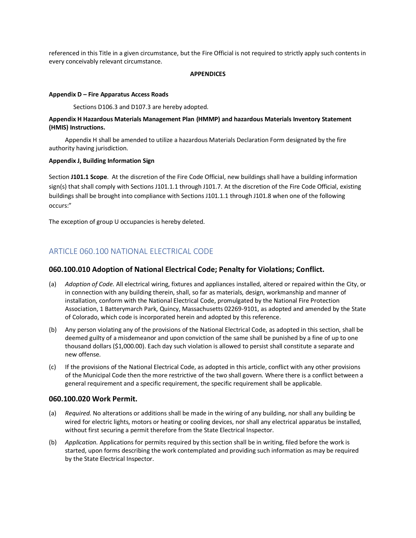referenced in this Title in a given circumstance, but the Fire Official is not required to strictly apply such contents in every conceivably relevant circumstance.

#### **APPENDICES**

#### **Appendix D – Fire Apparatus Access Roads**

Sections D106.3 and D107.3 are hereby adopted.

# **Appendix H Hazardous Materials Management Plan (HMMP) and hazardous Materials Inventory Statement (HMIS) Instructions.**

Appendix H shall be amended to utilize a hazardous Materials Declaration Form designated by the fire authority having jurisdiction.

### **Appendix J, Building Information Sign**

Section **J101.1 Scope**. At the discretion of the Fire Code Official, new buildings shall have a building information sign(s) that shall comply with Sections J101.1.1 through J101.7. At the discretion of the Fire Code Official, existing buildings shall be brought into compliance with Sections J101.1.1 through J101.8 when one of the following occurs:"

The exception of group U occupancies is hereby deleted.

# ARTICLE 060.100 NATIONAL ELECTRICAL CODE

# **060.100.010 Adoption of National Electrical Code; Penalty for Violations; Conflict.**

- (a) *Adoption of Code.* All electrical wiring, fixtures and appliances installed, altered or repaired within the City, or in connection with any building therein, shall, so far as materials, design, workmanship and manner of installation, conform with the National Electrical Code, promulgated by the National Fire Protection Association, 1 Batterymarch Park, Quincy, Massachusetts 02269-9101, as adopted and amended by the State of Colorado, which code is incorporated herein and adopted by this reference.
- (b) Any person violating any of the provisions of the National Electrical Code, as adopted in this section, shall be deemed guilty of a misdemeanor and upon conviction of the same shall be punished by a fine of up to one thousand dollars (\$1,000.00). Each day such violation is allowed to persist shall constitute a separate and new offense.
- (c) If the provisions of the National Electrical Code, as adopted in this article, conflict with any other provisions of the Municipal Code then the more restrictive of the two shall govern. Where there is a conflict between a general requirement and a specific requirement, the specific requirement shall be applicable.

### **060.100.020 Work Permit.**

- (a) *Required.* No alterations or additions shall be made in the wiring of any building, nor shall any building be wired for electric lights, motors or heating or cooling devices, nor shall any electrical apparatus be installed, without first securing a permit therefore from the State Electrical Inspector.
- (b) *Application.* Applications for permits required by this section shall be in writing, filed before the work is started, upon forms describing the work contemplated and providing such information as may be required by the State Electrical Inspector.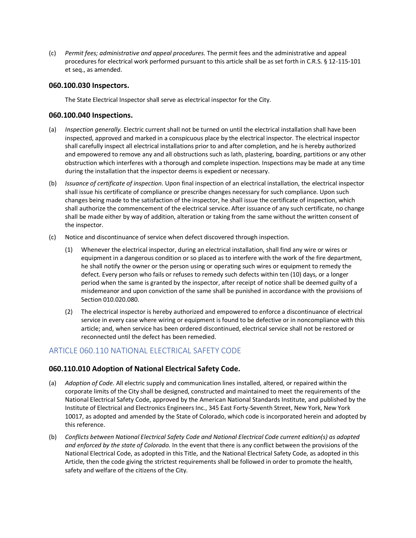(c) *Permit fees; administrative and appeal procedures.* The permit fees and the administrative and appeal procedures for electrical work performed pursuant to this article shall be as set forth in C.R.S. § 12-115-101 et seq., as amended.

# **060.100.030 Inspectors.**

The State Electrical Inspector shall serve as electrical inspector for the City.

# **060.100.040 Inspections.**

- (a) *Inspection generally.* Electric current shall not be turned on until the electrical installation shall have been inspected, approved and marked in a conspicuous place by the electrical inspector. The electrical inspector shall carefully inspect all electrical installations prior to and after completion, and he is hereby authorized and empowered to remove any and all obstructions such as lath, plastering, boarding, partitions or any other obstruction which interferes with a thorough and complete inspection. Inspections may be made at any time during the installation that the inspector deems is expedient or necessary.
- (b) *Issuance of certificate of inspection.* Upon final inspection of an electrical installation, the electrical inspector shall issue his certificate of compliance or prescribe changes necessary for such compliance. Upon such changes being made to the satisfaction of the inspector, he shall issue the certificate of inspection, which shall authorize the commencement of the electrical service. After issuance of any such certificate, no change shall be made either by way of addition, alteration or taking from the same without the written consent of the inspector.
- (c) Notice and discontinuance of service when defect discovered through inspection.
	- (1) Whenever the electrical inspector, during an electrical installation, shall find any wire or wires or equipment in a dangerous condition or so placed as to interfere with the work of the fire department, he shall notify the owner or the person using or operating such wires or equipment to remedy the defect. Every person who fails or refuses to remedy such defects within ten (10) days, or a longer period when the same is granted by the inspector, after receipt of notice shall be deemed guilty of a misdemeanor and upon conviction of the same shall be punished in accordance with the provisions of Section 010.020.080.
	- (2) The electrical inspector is hereby authorized and empowered to enforce a discontinuance of electrical service in every case where wiring or equipment is found to be defective or in noncompliance with this article; and, when service has been ordered discontinued, electrical service shall not be restored or reconnected until the defect has been remedied.

# ARTICLE 060.110 NATIONAL ELECTRICAL SAFETY CODE

# **060.110.010 Adoption of National Electrical Safety Code.**

- (a) *Adoption of Code.* All electric supply and communication lines installed, altered, or repaired within the corporate limits of the City shall be designed, constructed and maintained to meet the requirements of the National Electrical Safety Code, approved by the American National Standards Institute, and published by the Institute of Electrical and Electronics Engineers Inc., 345 East Forty-Seventh Street, New York, New York 10017, as adopted and amended by the State of Colorado, which code is incorporated herein and adopted by this reference.
- (b) *Conflicts between National Electrical Safety Code and National Electrical Code current edition(s) as adopted and enforced by the state of Colorado.* In the event that there is any conflict between the provisions of the National Electrical Code, as adopted in this Title, and the National Electrical Safety Code, as adopted in this Article, then the code giving the strictest requirements shall be followed in order to promote the health, safety and welfare of the citizens of the City.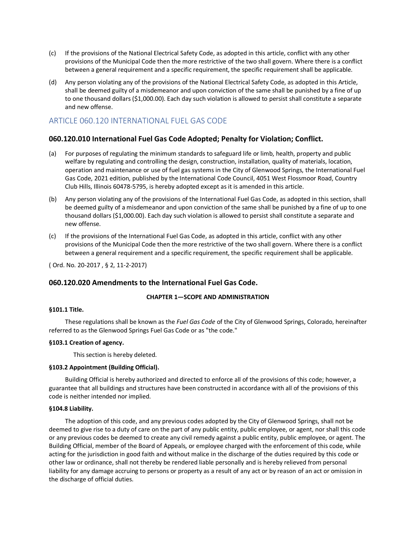- (c) If the provisions of the National Electrical Safety Code, as adopted in this article, conflict with any other provisions of the Municipal Code then the more restrictive of the two shall govern. Where there is a conflict between a general requirement and a specific requirement, the specific requirement shall be applicable.
- (d) Any person violating any of the provisions of the National Electrical Safety Code, as adopted in this Article, shall be deemed guilty of a misdemeanor and upon conviction of the same shall be punished by a fine of up to one thousand dollars (\$1,000.00). Each day such violation is allowed to persist shall constitute a separate and new offense.

# ARTICLE 060.120 INTERNATIONAL FUEL GAS CODE

# **060.120.010 International Fuel Gas Code Adopted; Penalty for Violation; Conflict.**

- (a) For purposes of regulating the minimum standards to safeguard life or limb, health, property and public welfare by regulating and controlling the design, construction, installation, quality of materials, location, operation and maintenance or use of fuel gas systems in the City of Glenwood Springs, the International Fuel Gas Code, 2021 edition, published by the International Code Council, 4051 West Flossmoor Road, Country Club Hills, Illinois 60478-5795, is hereby adopted except as it is amended in this article.
- (b) Any person violating any of the provisions of the International Fuel Gas Code, as adopted in this section, shall be deemed guilty of a misdemeanor and upon conviction of the same shall be punished by a fine of up to one thousand dollars (\$1,000.00). Each day such violation is allowed to persist shall constitute a separate and new offense.
- (c) If the provisions of the International Fuel Gas Code, as adopted in this article, conflict with any other provisions of the Municipal Code then the more restrictive of the two shall govern. Where there is a conflict between a general requirement and a specific requirement, the specific requirement shall be applicable.

( Ord. No. 20-2017 , § 2, 11-2-2017)

# **060.120.020 Amendments to the International Fuel Gas Code.**

# **CHAPTER 1—SCOPE AND ADMINISTRATION**

# **§101.1 Title.**

These regulations shall be known as the *Fuel Gas Code* of the City of Glenwood Springs, Colorado, hereinafter referred to as the Glenwood Springs Fuel Gas Code or as "the code."

### **§103.1 Creation of agency.**

This section is hereby deleted.

### **§103.2 Appointment (Building Official).**

Building Official is hereby authorized and directed to enforce all of the provisions of this code; however, a guarantee that all buildings and structures have been constructed in accordance with all of the provisions of this code is neither intended nor implied.

### **§104.8 Liability.**

The adoption of this code, and any previous codes adopted by the City of Glenwood Springs, shall not be deemed to give rise to a duty of care on the part of any public entity, public employee, or agent, nor shall this code or any previous codes be deemed to create any civil remedy against a public entity, public employee, or agent. The Building Official, member of the Board of Appeals, or employee charged with the enforcement of this code, while acting for the jurisdiction in good faith and without malice in the discharge of the duties required by this code or other law or ordinance, shall not thereby be rendered liable personally and is hereby relieved from personal liability for any damage accruing to persons or property as a result of any act or by reason of an act or omission in the discharge of official duties.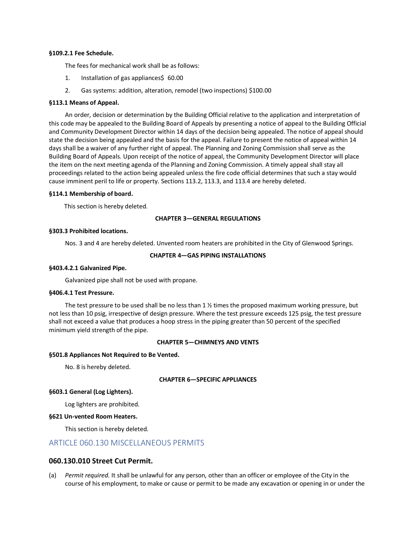#### **§109.2.1 Fee Schedule.**

The fees for mechanical work shall be as follows:

- 1. Installation of gas appliances\$ 60.00
- 2. Gas systems: addition, alteration, remodel (two inspections) \$100.00

#### **§113.1 Means of Appeal.**

An order, decision or determination by the Building Official relative to the application and interpretation of this code may be appealed to the Building Board of Appeals by presenting a notice of appeal to the Building Official and Community Development Director within 14 days of the decision being appealed. The notice of appeal should state the decision being appealed and the basis for the appeal. Failure to present the notice of appeal within 14 days shall be a waiver of any further right of appeal. The Planning and Zoning Commission shall serve as the Building Board of Appeals. Upon receipt of the notice of appeal, the Community Development Director will place the item on the next meeting agenda of the Planning and Zoning Commission. A timely appeal shall stay all proceedings related to the action being appealed unless the fire code official determines that such a stay would cause imminent peril to life or property. Sections 113.2, 113.3, and 113.4 are hereby deleted.

#### **§114.1 Membership of board.**

This section is hereby deleted.

#### **CHAPTER 3—GENERAL REGULATIONS**

#### **§303.3 Prohibited locations.**

Nos. 3 and 4 are hereby deleted. Unvented room heaters are prohibited in the City of Glenwood Springs.

#### **CHAPTER 4—GAS PIPING INSTALLATIONS**

### **§403.4.2.1 Galvanized Pipe.**

Galvanized pipe shall not be used with propane.

#### **§406.4.1 Test Pressure.**

The test pressure to be used shall be no less than  $1\frac{1}{2}$  times the proposed maximum working pressure, but not less than 10 psig, irrespective of design pressure. Where the test pressure exceeds 125 psig, the test pressure shall not exceed a value that produces a hoop stress in the piping greater than 50 percent of the specified minimum yield strength of the pipe.

#### **CHAPTER 5—CHIMNEYS AND VENTS**

#### **§501.8 Appliances Not Required to Be Vented.**

No. 8 is hereby deleted.

### **CHAPTER 6—SPECIFIC APPLIANCES**

#### **§603.1 General (Log Lighters).**

Log lighters are prohibited.

#### **§621 Un-vented Room Heaters.**

This section is hereby deleted.

# ARTICLE 060.130 MISCELLANEOUS PERMITS

### **060.130.010 Street Cut Permit.**

(a) *Permit required.* It shall be unlawful for any person, other than an officer or employee of the City in the course of his employment, to make or cause or permit to be made any excavation or opening in or under the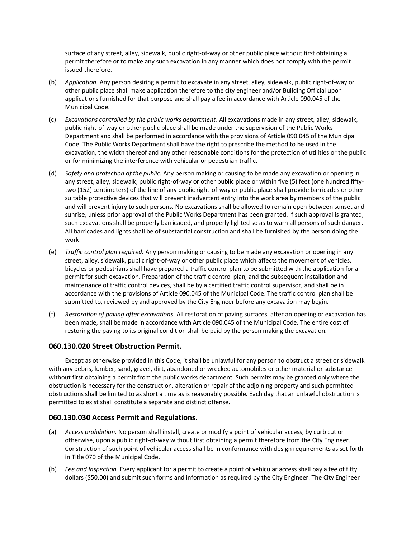surface of any street, alley, sidewalk, public right-of-way or other public place without first obtaining a permit therefore or to make any such excavation in any manner which does not comply with the permit issued therefore.

- (b) *Application.* Any person desiring a permit to excavate in any street, alley, sidewalk, public right-of-way or other public place shall make application therefore to the city engineer and/or Building Official upon applications furnished for that purpose and shall pay a fee in accordance with Article 090.045 of the Municipal Code.
- (c) *Excavations controlled by the public works department.* All excavations made in any street, alley, sidewalk, public right-of-way or other public place shall be made under the supervision of the Public Works Department and shall be performed in accordance with the provisions of Article 090.045 of the Municipal Code. The Public Works Department shall have the right to prescribe the method to be used in the excavation, the width thereof and any other reasonable conditions for the protection of utilities or the public or for minimizing the interference with vehicular or pedestrian traffic.
- (d) *Safety and protection of the public.* Any person making or causing to be made any excavation or opening in any street, alley, sidewalk, public right-of-way or other public place or within five (5) feet (one hundred fiftytwo (152) centimeters) of the line of any public right-of-way or public place shall provide barricades or other suitable protective devices that will prevent inadvertent entry into the work area by members of the public and will prevent injury to such persons. No excavations shall be allowed to remain open between sunset and sunrise, unless prior approval of the Public Works Department has been granted. If such approval is granted, such excavations shall be properly barricaded, and properly lighted so as to warn all persons of such danger. All barricades and lights shall be of substantial construction and shall be furnished by the person doing the work.
- (e) *Traffic control plan required.* Any person making or causing to be made any excavation or opening in any street, alley, sidewalk, public right-of-way or other public place which affects the movement of vehicles, bicycles or pedestrians shall have prepared a traffic control plan to be submitted with the application for a permit for such excavation. Preparation of the traffic control plan, and the subsequent installation and maintenance of traffic control devices, shall be by a certified traffic control supervisor, and shall be in accordance with the provisions of Article 090.045 of the Municipal Code. The traffic control plan shall be submitted to, reviewed by and approved by the City Engineer before any excavation may begin.
- (f) *Restoration of paving after excavations.* All restoration of paving surfaces, after an opening or excavation has been made, shall be made in accordance with Article 090.045 of the Municipal Code. The entire cost of restoring the paving to its original condition shall be paid by the person making the excavation.

# **060.130.020 Street Obstruction Permit.**

Except as otherwise provided in this Code, it shall be unlawful for any person to obstruct a street or sidewalk with any debris, lumber, sand, gravel, dirt, abandoned or wrecked automobiles or other material or substance without first obtaining a permit from the public works department. Such permits may be granted only where the obstruction is necessary for the construction, alteration or repair of the adjoining property and such permitted obstructions shall be limited to as short a time as is reasonably possible. Each day that an unlawful obstruction is permitted to exist shall constitute a separate and distinct offense.

# **060.130.030 Access Permit and Regulations.**

- (a) *Access prohibition.* No person shall install, create or modify a point of vehicular access, by curb cut or otherwise, upon a public right-of-way without first obtaining a permit therefore from the City Engineer. Construction of such point of vehicular access shall be in conformance with design requirements as set forth in Title 070 of the Municipal Code.
- (b) *Fee and Inspection.* Every applicant for a permit to create a point of vehicular access shall pay a fee of fifty dollars (\$50.00) and submit such forms and information as required by the City Engineer. The City Engineer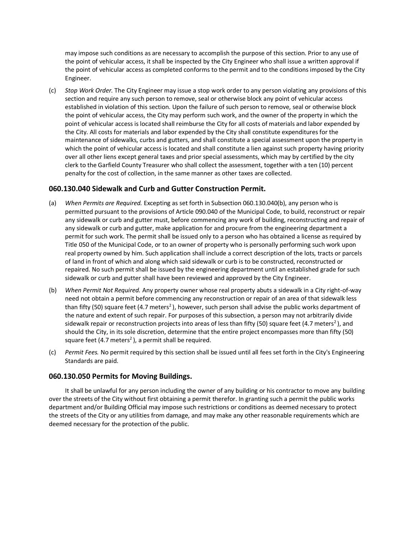may impose such conditions as are necessary to accomplish the purpose of this section. Prior to any use of the point of vehicular access, it shall be inspected by the City Engineer who shall issue a written approval if the point of vehicular access as completed conforms to the permit and to the conditions imposed by the City Engineer.

(c) *Stop Work Order.* The City Engineer may issue a stop work order to any person violating any provisions of this section and require any such person to remove, seal or otherwise block any point of vehicular access established in violation of this section. Upon the failure of such person to remove, seal or otherwise block the point of vehicular access, the City may perform such work, and the owner of the property in which the point of vehicular access is located shall reimburse the City for all costs of materials and labor expended by the City. All costs for materials and labor expended by the City shall constitute expenditures for the maintenance of sidewalks, curbs and gutters, and shall constitute a special assessment upon the property in which the point of vehicular access is located and shall constitute a lien against such property having priority over all other liens except general taxes and prior special assessments, which may by certified by the city clerk to the Garfield County Treasurer who shall collect the assessment, together with a ten (10) percent penalty for the cost of collection, in the same manner as other taxes are collected.

# **060.130.040 Sidewalk and Curb and Gutter Construction Permit.**

- (a) *When Permits are Required.* Excepting as set forth in Subsection 060.130.040(b), any person who is permitted pursuant to the provisions of Article 090.040 of the Municipal Code, to build, reconstruct or repair any sidewalk or curb and gutter must, before commencing any work of building, reconstructing and repair of any sidewalk or curb and gutter, make application for and procure from the engineering department a permit for such work. The permit shall be issued only to a person who has obtained a license as required by Title 050 of the Municipal Code, or to an owner of property who is personally performing such work upon real property owned by him. Such application shall include a correct description of the lots, tracts or parcels of land in front of which and along which said sidewalk or curb is to be constructed, reconstructed or repaired. No such permit shall be issued by the engineering department until an established grade for such sidewalk or curb and gutter shall have been reviewed and approved by the City Engineer.
- (b) *When Permit Not Required.* Any property owner whose real property abuts a sidewalk in a City right-of-way need not obtain a permit before commencing any reconstruction or repair of an area of that sidewalk less than fifty (50) square feet (4.7 meters<sup>2</sup>), however, such person shall advise the public works department of the nature and extent of such repair. For purposes of this subsection, a person may not arbitrarily divide sidewalk repair or reconstruction projects into areas of less than fifty (50) square feet (4.7 meters<sup>2</sup>), and should the City, in its sole discretion, determine that the entire project encompasses more than fifty (50) square feet (4.7 meters<sup>2</sup>), a permit shall be required.
- (c) *Permit Fees.* No permit required by this section shall be issued until all fees set forth in the City's Engineering Standards are paid.

# **060.130.050 Permits for Moving Buildings.**

It shall be unlawful for any person including the owner of any building or his contractor to move any building over the streets of the City without first obtaining a permit therefor. In granting such a permit the public works department and/or Building Official may impose such restrictions or conditions as deemed necessary to protect the streets of the City or any utilities from damage, and may make any other reasonable requirements which are deemed necessary for the protection of the public.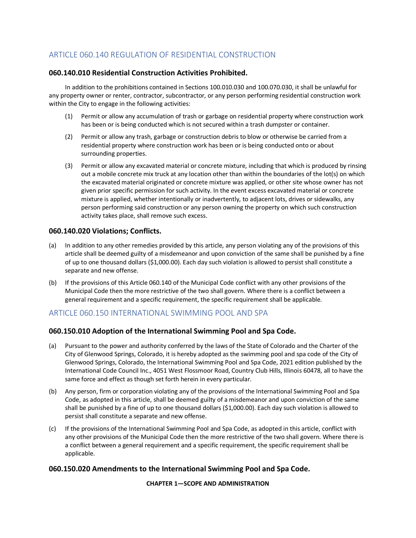# ARTICLE 060.140 REGULATION OF RESIDENTIAL CONSTRUCTION

# **060.140.010 Residential Construction Activities Prohibited.**

In addition to the prohibitions contained in Sections 100.010.030 and 100.070.030, it shall be unlawful for any property owner or renter, contractor, subcontractor, or any person performing residential construction work within the City to engage in the following activities:

- (1) Permit or allow any accumulation of trash or garbage on residential property where construction work has been or is being conducted which is not secured within a trash dumpster or container.
- (2) Permit or allow any trash, garbage or construction debris to blow or otherwise be carried from a residential property where construction work has been or is being conducted onto or about surrounding properties.
- (3) Permit or allow any excavated material or concrete mixture, including that which is produced by rinsing out a mobile concrete mix truck at any location other than within the boundaries of the lot(s) on which the excavated material originated or concrete mixture was applied, or other site whose owner has not given prior specific permission for such activity. In the event excess excavated material or concrete mixture is applied, whether intentionally or inadvertently, to adjacent lots, drives or sidewalks, any person performing said construction or any person owning the property on which such construction activity takes place, shall remove such excess.

# **060.140.020 Violations; Conflicts.**

- (a) In addition to any other remedies provided by this article, any person violating any of the provisions of this article shall be deemed guilty of a misdemeanor and upon conviction of the same shall be punished by a fine of up to one thousand dollars (\$1,000.00). Each day such violation is allowed to persist shall constitute a separate and new offense.
- (b) If the provisions of this Article 060.140 of the Municipal Code conflict with any other provisions of the Municipal Code then the more restrictive of the two shall govern. Where there is a conflict between a general requirement and a specific requirement, the specific requirement shall be applicable.

# ARTICLE 060.150 INTERNATIONAL SWIMMING POOL AND SPA

# **060.150.010 Adoption of the International Swimming Pool and Spa Code.**

- (a) Pursuant to the power and authority conferred by the laws of the State of Colorado and the Charter of the City of Glenwood Springs, Colorado, it is hereby adopted as the swimming pool and spa code of the City of Glenwood Springs, Colorado, the International Swimming Pool and Spa Code, 2021 edition published by the International Code Council Inc., 4051 West Flossmoor Road, Country Club Hills, Illinois 60478, all to have the same force and effect as though set forth herein in every particular.
- (b) Any person, firm or corporation violating any of the provisions of the International Swimming Pool and Spa Code, as adopted in this article, shall be deemed guilty of a misdemeanor and upon conviction of the same shall be punished by a fine of up to one thousand dollars (\$1,000.00). Each day such violation is allowed to persist shall constitute a separate and new offense.
- (c) If the provisions of the International Swimming Pool and Spa Code, as adopted in this article, conflict with any other provisions of the Municipal Code then the more restrictive of the two shall govern. Where there is a conflict between a general requirement and a specific requirement, the specific requirement shall be applicable.

# **060.150.020 Amendments to the International Swimming Pool and Spa Code.**

**CHAPTER 1—SCOPE AND ADMINISTRATION**